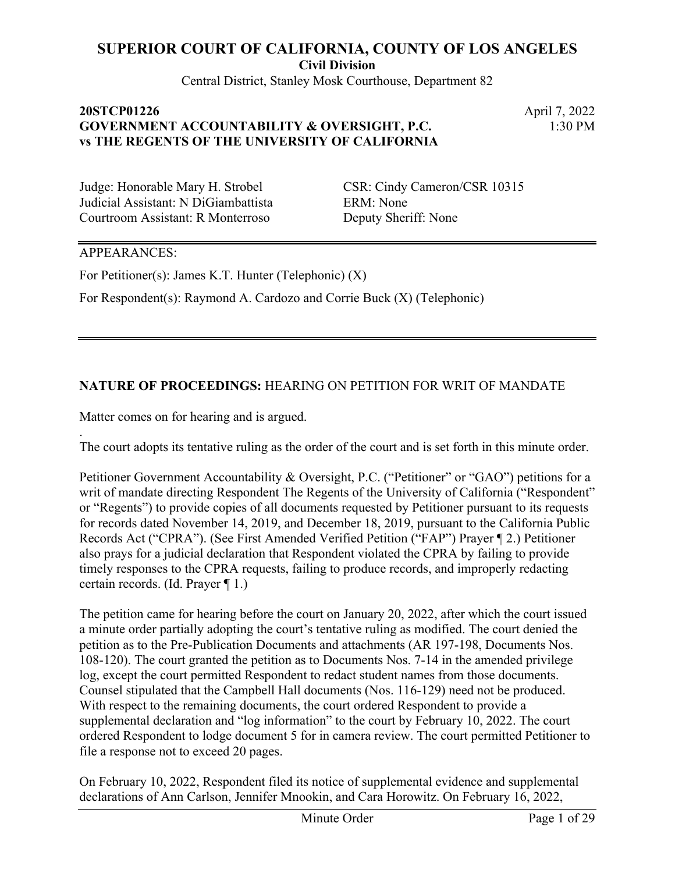**Civil Division**

Central District, Stanley Mosk Courthouse, Department 82

## **20STCP01226** April 7, 2022 **GOVERNMENT ACCOUNTABILITY & OVERSIGHT, P.C. vs THE REGENTS OF THE UNIVERSITY OF CALIFORNIA**

1:30 PM

Judicial Assistant: N DiGiambattista ERM: None Courtroom Assistant: R Monterroso Deputy Sheriff: None

Judge: Honorable Mary H. Strobel CSR: Cindy Cameron/CSR 10315

#### APPEARANCES:

.

For Petitioner(s): James K.T. Hunter (Telephonic) (X)

For Respondent(s): Raymond A. Cardozo and Corrie Buck (X) (Telephonic)

## **NATURE OF PROCEEDINGS:** HEARING ON PETITION FOR WRIT OF MANDATE

Matter comes on for hearing and is argued.

The court adopts its tentative ruling as the order of the court and is set forth in this minute order.

Petitioner Government Accountability & Oversight, P.C. ("Petitioner" or "GAO") petitions for a writ of mandate directing Respondent The Regents of the University of California ("Respondent" or "Regents") to provide copies of all documents requested by Petitioner pursuant to its requests for records dated November 14, 2019, and December 18, 2019, pursuant to the California Public Records Act ("CPRA"). (See First Amended Verified Petition ("FAP") Prayer ¶ 2.) Petitioner also prays for a judicial declaration that Respondent violated the CPRA by failing to provide timely responses to the CPRA requests, failing to produce records, and improperly redacting certain records. (Id. Prayer ¶ 1.)

The petition came for hearing before the court on January 20, 2022, after which the court issued a minute order partially adopting the court's tentative ruling as modified. The court denied the petition as to the Pre-Publication Documents and attachments (AR 197-198, Documents Nos. 108-120). The court granted the petition as to Documents Nos. 7-14 in the amended privilege log, except the court permitted Respondent to redact student names from those documents. Counsel stipulated that the Campbell Hall documents (Nos. 116-129) need not be produced. With respect to the remaining documents, the court ordered Respondent to provide a supplemental declaration and "log information" to the court by February 10, 2022. The court ordered Respondent to lodge document 5 for in camera review. The court permitted Petitioner to file a response not to exceed 20 pages.

On February 10, 2022, Respondent filed its notice of supplemental evidence and supplemental declarations of Ann Carlson, Jennifer Mnookin, and Cara Horowitz. On February 16, 2022,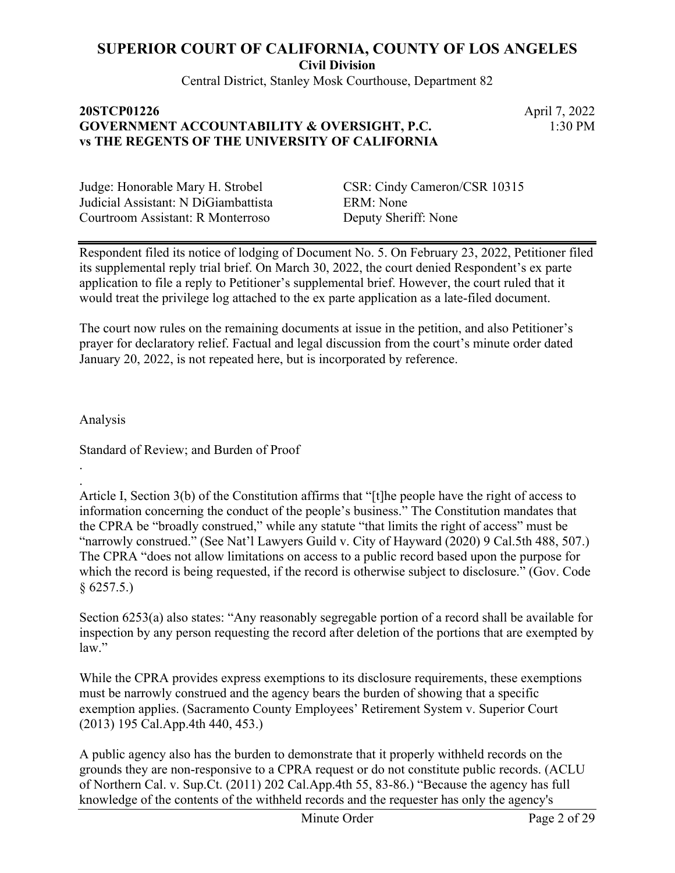**Civil Division**

Central District, Stanley Mosk Courthouse, Department 82

### **20STCP01226** April 7, 2022 **GOVERNMENT ACCOUNTABILITY & OVERSIGHT, P.C. vs THE REGENTS OF THE UNIVERSITY OF CALIFORNIA**

1:30 PM

Judicial Assistant: N DiGiambattista ERM: None Courtroom Assistant: R Monterroso Deputy Sheriff: None

Judge: Honorable Mary H. Strobel CSR: Cindy Cameron/CSR 10315

Respondent filed its notice of lodging of Document No. 5. On February 23, 2022, Petitioner filed its supplemental reply trial brief. On March 30, 2022, the court denied Respondent's ex parte application to file a reply to Petitioner's supplemental brief. However, the court ruled that it would treat the privilege log attached to the ex parte application as a late-filed document.

The court now rules on the remaining documents at issue in the petition, and also Petitioner's prayer for declaratory relief. Factual and legal discussion from the court's minute order dated January 20, 2022, is not repeated here, but is incorporated by reference.

Analysis

. .

Standard of Review; and Burden of Proof

Article I, Section 3(b) of the Constitution affirms that "[t]he people have the right of access to information concerning the conduct of the people's business." The Constitution mandates that the CPRA be "broadly construed," while any statute "that limits the right of access" must be "narrowly construed." (See Nat'l Lawyers Guild v. City of Hayward (2020) 9 Cal.5th 488, 507.) The CPRA "does not allow limitations on access to a public record based upon the purpose for which the record is being requested, if the record is otherwise subject to disclosure." (Gov. Code  $$6257.5.$ 

Section 6253(a) also states: "Any reasonably segregable portion of a record shall be available for inspection by any person requesting the record after deletion of the portions that are exempted by law."

While the CPRA provides express exemptions to its disclosure requirements, these exemptions must be narrowly construed and the agency bears the burden of showing that a specific exemption applies. (Sacramento County Employees' Retirement System v. Superior Court (2013) 195 Cal.App.4th 440, 453.)

A public agency also has the burden to demonstrate that it properly withheld records on the grounds they are non-responsive to a CPRA request or do not constitute public records. (ACLU of Northern Cal. v. Sup.Ct. (2011) 202 Cal.App.4th 55, 83-86.) "Because the agency has full knowledge of the contents of the withheld records and the requester has only the agency's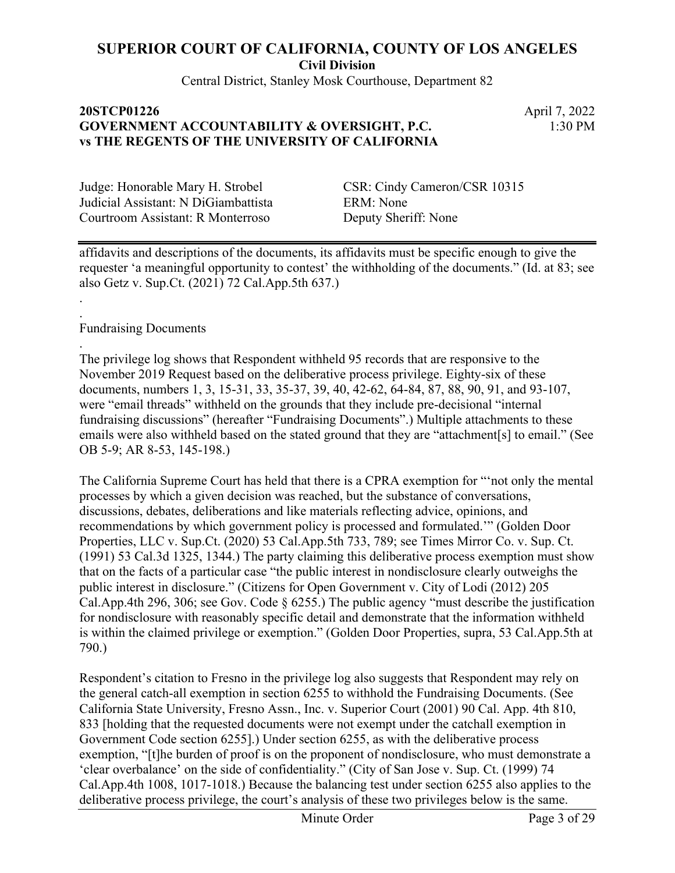Central District, Stanley Mosk Courthouse, Department 82

#### **20STCP01226** April 7, 2022 **GOVERNMENT ACCOUNTABILITY & OVERSIGHT, P.C. vs THE REGENTS OF THE UNIVERSITY OF CALIFORNIA**

1:30 PM

Judicial Assistant: N DiGiambattista ERM: None Courtroom Assistant: R Monterroso Deputy Sheriff: None

Judge: Honorable Mary H. Strobel CSR: Cindy Cameron/CSR 10315

affidavits and descriptions of the documents, its affidavits must be specific enough to give the requester 'a meaningful opportunity to contest' the withholding of the documents." (Id. at 83; see also Getz v. Sup.Ct. (2021) 72 Cal.App.5th 637.)

Fundraising Documents

. .

.

The privilege log shows that Respondent withheld 95 records that are responsive to the November 2019 Request based on the deliberative process privilege. Eighty-six of these documents, numbers 1, 3, 15-31, 33, 35-37, 39, 40, 42-62, 64-84, 87, 88, 90, 91, and 93-107, were "email threads" withheld on the grounds that they include pre-decisional "internal fundraising discussions" (hereafter "Fundraising Documents".) Multiple attachments to these emails were also withheld based on the stated ground that they are "attachment[s] to email." (See OB 5-9; AR 8-53, 145-198.)

The California Supreme Court has held that there is a CPRA exemption for "'not only the mental processes by which a given decision was reached, but the substance of conversations, discussions, debates, deliberations and like materials reflecting advice, opinions, and recommendations by which government policy is processed and formulated.'" (Golden Door Properties, LLC v. Sup.Ct. (2020) 53 Cal.App.5th 733, 789; see Times Mirror Co. v. Sup. Ct. (1991) 53 Cal.3d 1325, 1344.) The party claiming this deliberative process exemption must show that on the facts of a particular case "the public interest in nondisclosure clearly outweighs the public interest in disclosure." (Citizens for Open Government v. City of Lodi (2012) 205 Cal.App.4th 296, 306; see Gov. Code § 6255.) The public agency "must describe the justification for nondisclosure with reasonably specific detail and demonstrate that the information withheld is within the claimed privilege or exemption." (Golden Door Properties, supra, 53 Cal.App.5th at 790.)

Respondent's citation to Fresno in the privilege log also suggests that Respondent may rely on the general catch-all exemption in section 6255 to withhold the Fundraising Documents. (See California State University, Fresno Assn., Inc. v. Superior Court (2001) 90 Cal. App. 4th 810, 833 [holding that the requested documents were not exempt under the catchall exemption in Government Code section 6255].) Under section 6255, as with the deliberative process exemption, "[t]he burden of proof is on the proponent of nondisclosure, who must demonstrate a 'clear overbalance' on the side of confidentiality." (City of San Jose v. Sup. Ct. (1999) 74 Cal.App.4th 1008, 1017-1018.) Because the balancing test under section 6255 also applies to the deliberative process privilege, the court's analysis of these two privileges below is the same.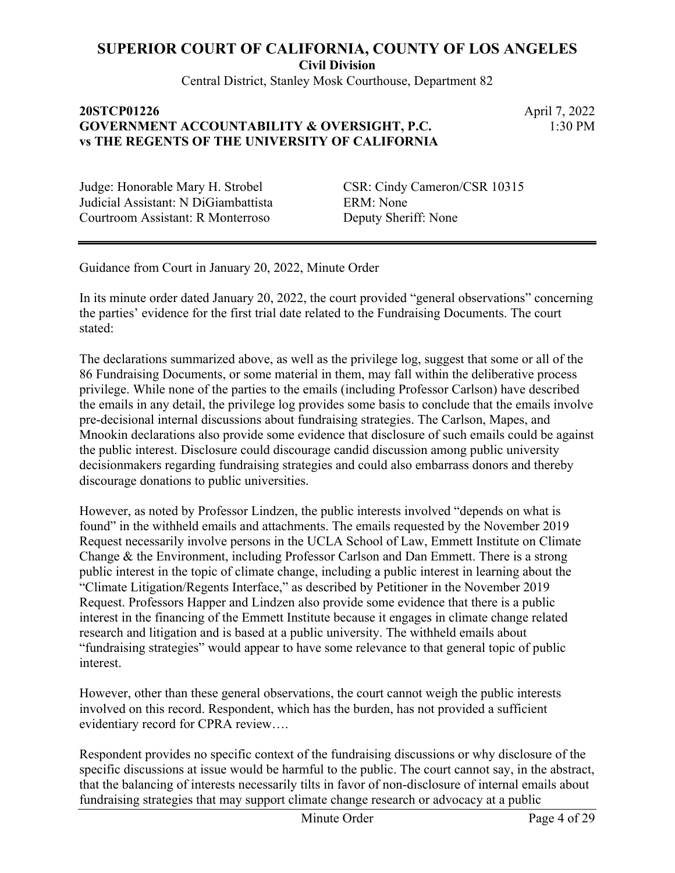Central District, Stanley Mosk Courthouse, Department 82

## **20STCP01226** April 7, 2022 **GOVERNMENT ACCOUNTABILITY & OVERSIGHT, P.C. vs THE REGENTS OF THE UNIVERSITY OF CALIFORNIA**

1:30 PM

Judicial Assistant: N DiGiambattista ERM: None Courtroom Assistant: R Monterroso Deputy Sheriff: None

Judge: Honorable Mary H. Strobel CSR: Cindy Cameron/CSR 10315

Guidance from Court in January 20, 2022, Minute Order

In its minute order dated January 20, 2022, the court provided "general observations" concerning the parties' evidence for the first trial date related to the Fundraising Documents. The court stated:

The declarations summarized above, as well as the privilege log, suggest that some or all of the 86 Fundraising Documents, or some material in them, may fall within the deliberative process privilege. While none of the parties to the emails (including Professor Carlson) have described the emails in any detail, the privilege log provides some basis to conclude that the emails involve pre-decisional internal discussions about fundraising strategies. The Carlson, Mapes, and Mnookin declarations also provide some evidence that disclosure of such emails could be against the public interest. Disclosure could discourage candid discussion among public university decisionmakers regarding fundraising strategies and could also embarrass donors and thereby discourage donations to public universities.

However, as noted by Professor Lindzen, the public interests involved "depends on what is found" in the withheld emails and attachments. The emails requested by the November 2019 Request necessarily involve persons in the UCLA School of Law, Emmett Institute on Climate Change & the Environment, including Professor Carlson and Dan Emmett. There is a strong public interest in the topic of climate change, including a public interest in learning about the "Climate Litigation/Regents Interface," as described by Petitioner in the November 2019 Request. Professors Happer and Lindzen also provide some evidence that there is a public interest in the financing of the Emmett Institute because it engages in climate change related research and litigation and is based at a public university. The withheld emails about "fundraising strategies" would appear to have some relevance to that general topic of public interest.

However, other than these general observations, the court cannot weigh the public interests involved on this record. Respondent, which has the burden, has not provided a sufficient evidentiary record for CPRA review….

Respondent provides no specific context of the fundraising discussions or why disclosure of the specific discussions at issue would be harmful to the public. The court cannot say, in the abstract, that the balancing of interests necessarily tilts in favor of non-disclosure of internal emails about fundraising strategies that may support climate change research or advocacy at a public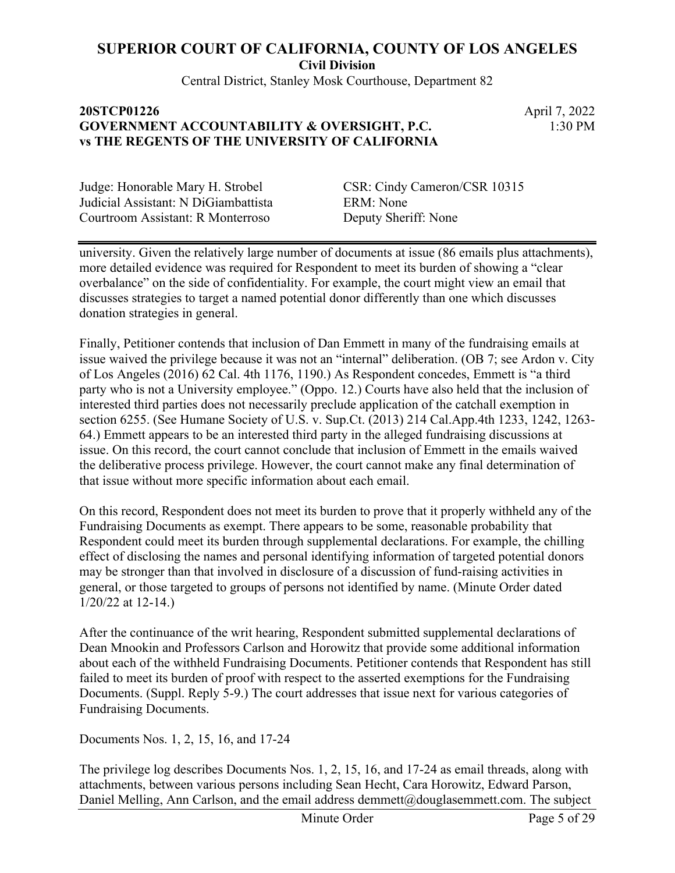Central District, Stanley Mosk Courthouse, Department 82

## **20STCP01226** April 7, 2022 **GOVERNMENT ACCOUNTABILITY & OVERSIGHT, P.C. vs THE REGENTS OF THE UNIVERSITY OF CALIFORNIA**

1:30 PM

Judicial Assistant: N DiGiambattista ERM: None Courtroom Assistant: R Monterroso Deputy Sheriff: None

Judge: Honorable Mary H. Strobel CSR: Cindy Cameron/CSR 10315

university. Given the relatively large number of documents at issue (86 emails plus attachments), more detailed evidence was required for Respondent to meet its burden of showing a "clear overbalance" on the side of confidentiality. For example, the court might view an email that discusses strategies to target a named potential donor differently than one which discusses donation strategies in general.

Finally, Petitioner contends that inclusion of Dan Emmett in many of the fundraising emails at issue waived the privilege because it was not an "internal" deliberation. (OB 7; see Ardon v. City of Los Angeles (2016) 62 Cal. 4th 1176, 1190.) As Respondent concedes, Emmett is "a third party who is not a University employee." (Oppo. 12.) Courts have also held that the inclusion of interested third parties does not necessarily preclude application of the catchall exemption in section 6255. (See Humane Society of U.S. v. Sup.Ct. (2013) 214 Cal.App.4th 1233, 1242, 1263- 64.) Emmett appears to be an interested third party in the alleged fundraising discussions at issue. On this record, the court cannot conclude that inclusion of Emmett in the emails waived the deliberative process privilege. However, the court cannot make any final determination of that issue without more specific information about each email.

On this record, Respondent does not meet its burden to prove that it properly withheld any of the Fundraising Documents as exempt. There appears to be some, reasonable probability that Respondent could meet its burden through supplemental declarations. For example, the chilling effect of disclosing the names and personal identifying information of targeted potential donors may be stronger than that involved in disclosure of a discussion of fund-raising activities in general, or those targeted to groups of persons not identified by name. (Minute Order dated 1/20/22 at 12-14.)

After the continuance of the writ hearing, Respondent submitted supplemental declarations of Dean Mnookin and Professors Carlson and Horowitz that provide some additional information about each of the withheld Fundraising Documents. Petitioner contends that Respondent has still failed to meet its burden of proof with respect to the asserted exemptions for the Fundraising Documents. (Suppl. Reply 5-9.) The court addresses that issue next for various categories of Fundraising Documents.

Documents Nos. 1, 2, 15, 16, and 17-24

The privilege log describes Documents Nos. 1, 2, 15, 16, and 17-24 as email threads, along with attachments, between various persons including Sean Hecht, Cara Horowitz, Edward Parson, Daniel Melling, Ann Carlson, and the email address demmett@douglasemmett.com. The subject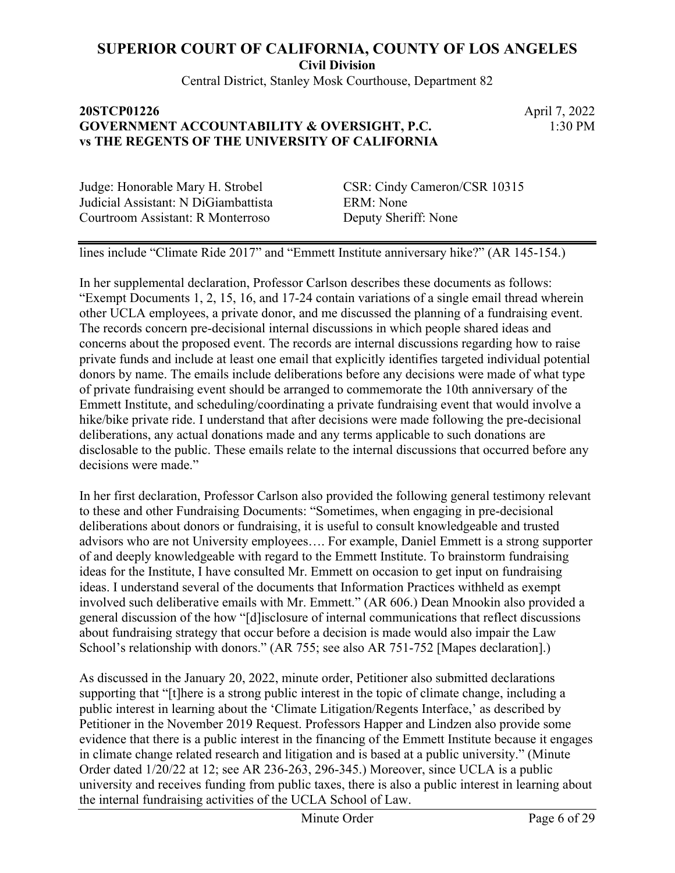Central District, Stanley Mosk Courthouse, Department 82

#### **20STCP01226** April 7, 2022 **GOVERNMENT ACCOUNTABILITY & OVERSIGHT, P.C. vs THE REGENTS OF THE UNIVERSITY OF CALIFORNIA**

1:30 PM

Judge: Honorable Mary H. Strobel CSR: Cindy Cameron/CSR 10315 Judicial Assistant: N DiGiambattista ERM: None Courtroom Assistant: R Monterroso Deputy Sheriff: None

lines include "Climate Ride 2017" and "Emmett Institute anniversary hike?" (AR 145-154.)

In her supplemental declaration, Professor Carlson describes these documents as follows: "Exempt Documents 1, 2, 15, 16, and 17-24 contain variations of a single email thread wherein other UCLA employees, a private donor, and me discussed the planning of a fundraising event. The records concern pre-decisional internal discussions in which people shared ideas and concerns about the proposed event. The records are internal discussions regarding how to raise private funds and include at least one email that explicitly identifies targeted individual potential donors by name. The emails include deliberations before any decisions were made of what type of private fundraising event should be arranged to commemorate the 10th anniversary of the Emmett Institute, and scheduling/coordinating a private fundraising event that would involve a hike/bike private ride. I understand that after decisions were made following the pre-decisional deliberations, any actual donations made and any terms applicable to such donations are disclosable to the public. These emails relate to the internal discussions that occurred before any decisions were made."

In her first declaration, Professor Carlson also provided the following general testimony relevant to these and other Fundraising Documents: "Sometimes, when engaging in pre-decisional deliberations about donors or fundraising, it is useful to consult knowledgeable and trusted advisors who are not University employees…. For example, Daniel Emmett is a strong supporter of and deeply knowledgeable with regard to the Emmett Institute. To brainstorm fundraising ideas for the Institute, I have consulted Mr. Emmett on occasion to get input on fundraising ideas. I understand several of the documents that Information Practices withheld as exempt involved such deliberative emails with Mr. Emmett." (AR 606.) Dean Mnookin also provided a general discussion of the how "[d]isclosure of internal communications that reflect discussions about fundraising strategy that occur before a decision is made would also impair the Law School's relationship with donors." (AR 755; see also AR 751-752 [Mapes declaration].)

As discussed in the January 20, 2022, minute order, Petitioner also submitted declarations supporting that "[t]here is a strong public interest in the topic of climate change, including a public interest in learning about the 'Climate Litigation/Regents Interface,' as described by Petitioner in the November 2019 Request. Professors Happer and Lindzen also provide some evidence that there is a public interest in the financing of the Emmett Institute because it engages in climate change related research and litigation and is based at a public university." (Minute Order dated 1/20/22 at 12; see AR 236-263, 296-345.) Moreover, since UCLA is a public university and receives funding from public taxes, there is also a public interest in learning about the internal fundraising activities of the UCLA School of Law.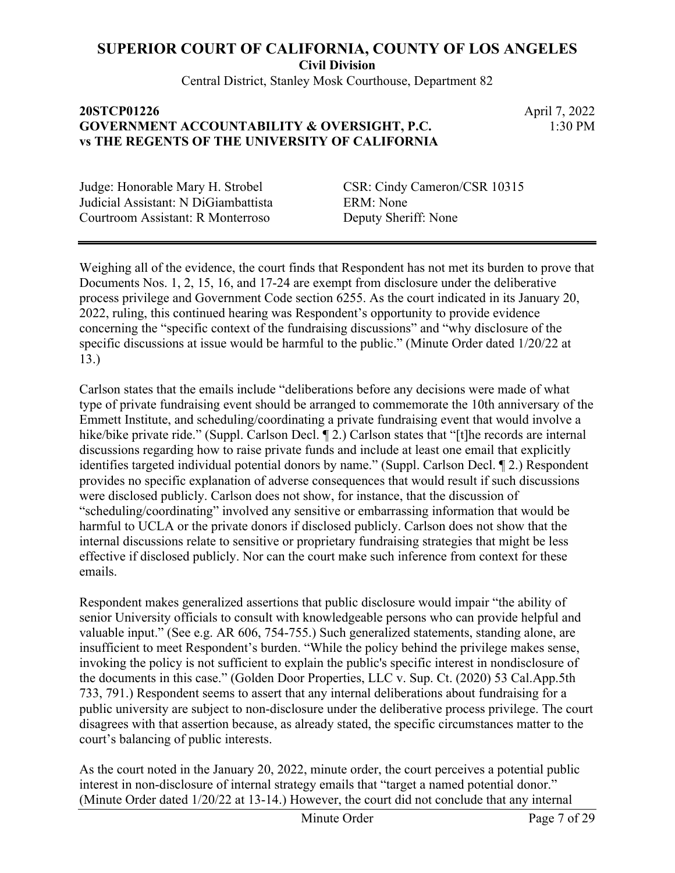Central District, Stanley Mosk Courthouse, Department 82

## **20STCP01226** April 7, 2022 **GOVERNMENT ACCOUNTABILITY & OVERSIGHT, P.C. vs THE REGENTS OF THE UNIVERSITY OF CALIFORNIA**

1:30 PM

Judicial Assistant: N DiGiambattista ERM: None Courtroom Assistant: R Monterroso Deputy Sheriff: None

Judge: Honorable Mary H. Strobel CSR: Cindy Cameron/CSR 10315

Weighing all of the evidence, the court finds that Respondent has not met its burden to prove that Documents Nos. 1, 2, 15, 16, and 17-24 are exempt from disclosure under the deliberative process privilege and Government Code section 6255. As the court indicated in its January 20, 2022, ruling, this continued hearing was Respondent's opportunity to provide evidence concerning the "specific context of the fundraising discussions" and "why disclosure of the specific discussions at issue would be harmful to the public." (Minute Order dated 1/20/22 at 13.)

Carlson states that the emails include "deliberations before any decisions were made of what type of private fundraising event should be arranged to commemorate the 10th anniversary of the Emmett Institute, and scheduling/coordinating a private fundraising event that would involve a hike/bike private ride." (Suppl. Carlson Decl. 12.) Carlson states that "[t] he records are internal discussions regarding how to raise private funds and include at least one email that explicitly identifies targeted individual potential donors by name." (Suppl. Carlson Decl. ¶ 2.) Respondent provides no specific explanation of adverse consequences that would result if such discussions were disclosed publicly. Carlson does not show, for instance, that the discussion of "scheduling/coordinating" involved any sensitive or embarrassing information that would be harmful to UCLA or the private donors if disclosed publicly. Carlson does not show that the internal discussions relate to sensitive or proprietary fundraising strategies that might be less effective if disclosed publicly. Nor can the court make such inference from context for these emails.

Respondent makes generalized assertions that public disclosure would impair "the ability of senior University officials to consult with knowledgeable persons who can provide helpful and valuable input." (See e.g. AR 606, 754-755.) Such generalized statements, standing alone, are insufficient to meet Respondent's burden. "While the policy behind the privilege makes sense, invoking the policy is not sufficient to explain the public's specific interest in nondisclosure of the documents in this case." (Golden Door Properties, LLC v. Sup. Ct. (2020) 53 Cal.App.5th 733, 791.) Respondent seems to assert that any internal deliberations about fundraising for a public university are subject to non-disclosure under the deliberative process privilege. The court disagrees with that assertion because, as already stated, the specific circumstances matter to the court's balancing of public interests.

As the court noted in the January 20, 2022, minute order, the court perceives a potential public interest in non-disclosure of internal strategy emails that "target a named potential donor." (Minute Order dated 1/20/22 at 13-14.) However, the court did not conclude that any internal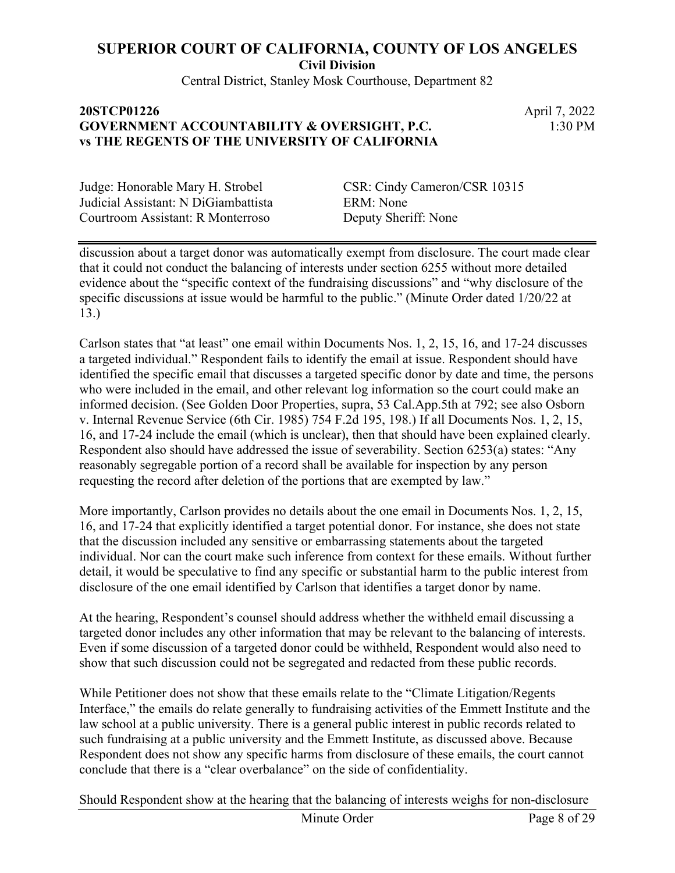Central District, Stanley Mosk Courthouse, Department 82

## **20STCP01226** April 7, 2022 **GOVERNMENT ACCOUNTABILITY & OVERSIGHT, P.C. vs THE REGENTS OF THE UNIVERSITY OF CALIFORNIA**

1:30 PM

Judicial Assistant: N DiGiambattista ERM: None Courtroom Assistant: R Monterroso Deputy Sheriff: None

Judge: Honorable Mary H. Strobel CSR: Cindy Cameron/CSR 10315

discussion about a target donor was automatically exempt from disclosure. The court made clear that it could not conduct the balancing of interests under section 6255 without more detailed evidence about the "specific context of the fundraising discussions" and "why disclosure of the specific discussions at issue would be harmful to the public." (Minute Order dated 1/20/22 at 13.)

Carlson states that "at least" one email within Documents Nos. 1, 2, 15, 16, and 17-24 discusses a targeted individual." Respondent fails to identify the email at issue. Respondent should have identified the specific email that discusses a targeted specific donor by date and time, the persons who were included in the email, and other relevant log information so the court could make an informed decision. (See Golden Door Properties, supra, 53 Cal.App.5th at 792; see also Osborn v. Internal Revenue Service (6th Cir. 1985) 754 F.2d 195, 198.) If all Documents Nos. 1, 2, 15, 16, and 17-24 include the email (which is unclear), then that should have been explained clearly. Respondent also should have addressed the issue of severability. Section 6253(a) states: "Any reasonably segregable portion of a record shall be available for inspection by any person requesting the record after deletion of the portions that are exempted by law."

More importantly, Carlson provides no details about the one email in Documents Nos. 1, 2, 15, 16, and 17-24 that explicitly identified a target potential donor. For instance, she does not state that the discussion included any sensitive or embarrassing statements about the targeted individual. Nor can the court make such inference from context for these emails. Without further detail, it would be speculative to find any specific or substantial harm to the public interest from disclosure of the one email identified by Carlson that identifies a target donor by name.

At the hearing, Respondent's counsel should address whether the withheld email discussing a targeted donor includes any other information that may be relevant to the balancing of interests. Even if some discussion of a targeted donor could be withheld, Respondent would also need to show that such discussion could not be segregated and redacted from these public records.

While Petitioner does not show that these emails relate to the "Climate Litigation/Regents Interface," the emails do relate generally to fundraising activities of the Emmett Institute and the law school at a public university. There is a general public interest in public records related to such fundraising at a public university and the Emmett Institute, as discussed above. Because Respondent does not show any specific harms from disclosure of these emails, the court cannot conclude that there is a "clear overbalance" on the side of confidentiality.

Should Respondent show at the hearing that the balancing of interests weighs for non-disclosure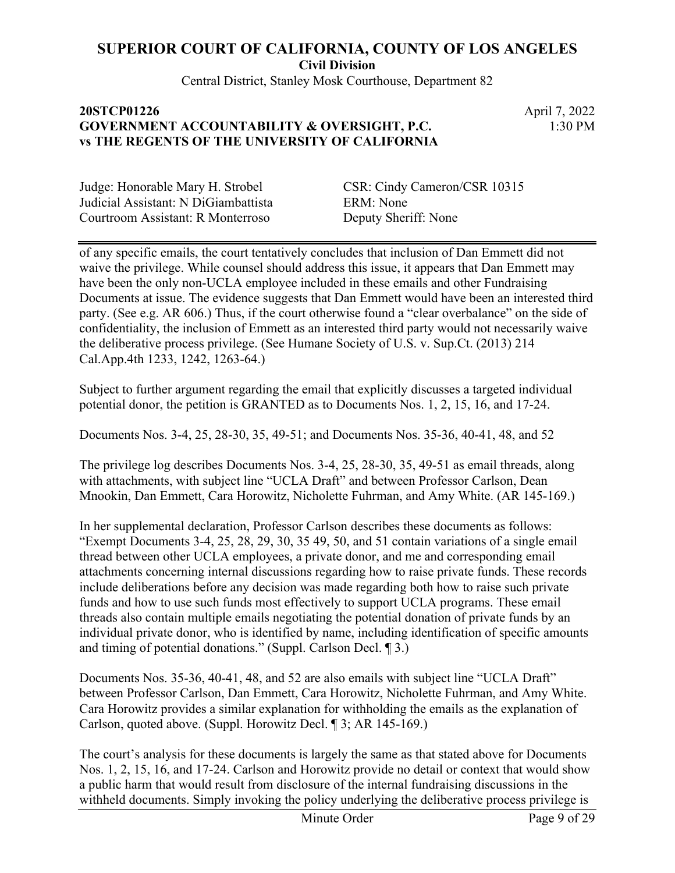Central District, Stanley Mosk Courthouse, Department 82

### **20STCP01226** April 7, 2022 **GOVERNMENT ACCOUNTABILITY & OVERSIGHT, P.C. vs THE REGENTS OF THE UNIVERSITY OF CALIFORNIA**

1:30 PM

Judicial Assistant: N DiGiambattista ERM: None Courtroom Assistant: R Monterroso Deputy Sheriff: None

Judge: Honorable Mary H. Strobel CSR: Cindy Cameron/CSR 10315

of any specific emails, the court tentatively concludes that inclusion of Dan Emmett did not waive the privilege. While counsel should address this issue, it appears that Dan Emmett may have been the only non-UCLA employee included in these emails and other Fundraising Documents at issue. The evidence suggests that Dan Emmett would have been an interested third party. (See e.g. AR 606.) Thus, if the court otherwise found a "clear overbalance" on the side of confidentiality, the inclusion of Emmett as an interested third party would not necessarily waive the deliberative process privilege. (See Humane Society of U.S. v. Sup.Ct. (2013) 214 Cal.App.4th 1233, 1242, 1263-64.)

Subject to further argument regarding the email that explicitly discusses a targeted individual potential donor, the petition is GRANTED as to Documents Nos. 1, 2, 15, 16, and 17-24.

Documents Nos. 3-4, 25, 28-30, 35, 49-51; and Documents Nos. 35-36, 40-41, 48, and 52

The privilege log describes Documents Nos. 3-4, 25, 28-30, 35, 49-51 as email threads, along with attachments, with subject line "UCLA Draft" and between Professor Carlson, Dean Mnookin, Dan Emmett, Cara Horowitz, Nicholette Fuhrman, and Amy White. (AR 145-169.)

In her supplemental declaration, Professor Carlson describes these documents as follows: "Exempt Documents 3-4, 25, 28, 29, 30, 35 49, 50, and 51 contain variations of a single email thread between other UCLA employees, a private donor, and me and corresponding email attachments concerning internal discussions regarding how to raise private funds. These records include deliberations before any decision was made regarding both how to raise such private funds and how to use such funds most effectively to support UCLA programs. These email threads also contain multiple emails negotiating the potential donation of private funds by an individual private donor, who is identified by name, including identification of specific amounts and timing of potential donations." (Suppl. Carlson Decl. ¶ 3.)

Documents Nos. 35-36, 40-41, 48, and 52 are also emails with subject line "UCLA Draft" between Professor Carlson, Dan Emmett, Cara Horowitz, Nicholette Fuhrman, and Amy White. Cara Horowitz provides a similar explanation for withholding the emails as the explanation of Carlson, quoted above. (Suppl. Horowitz Decl. ¶ 3; AR 145-169.)

The court's analysis for these documents is largely the same as that stated above for Documents Nos. 1, 2, 15, 16, and 17-24. Carlson and Horowitz provide no detail or context that would show a public harm that would result from disclosure of the internal fundraising discussions in the withheld documents. Simply invoking the policy underlying the deliberative process privilege is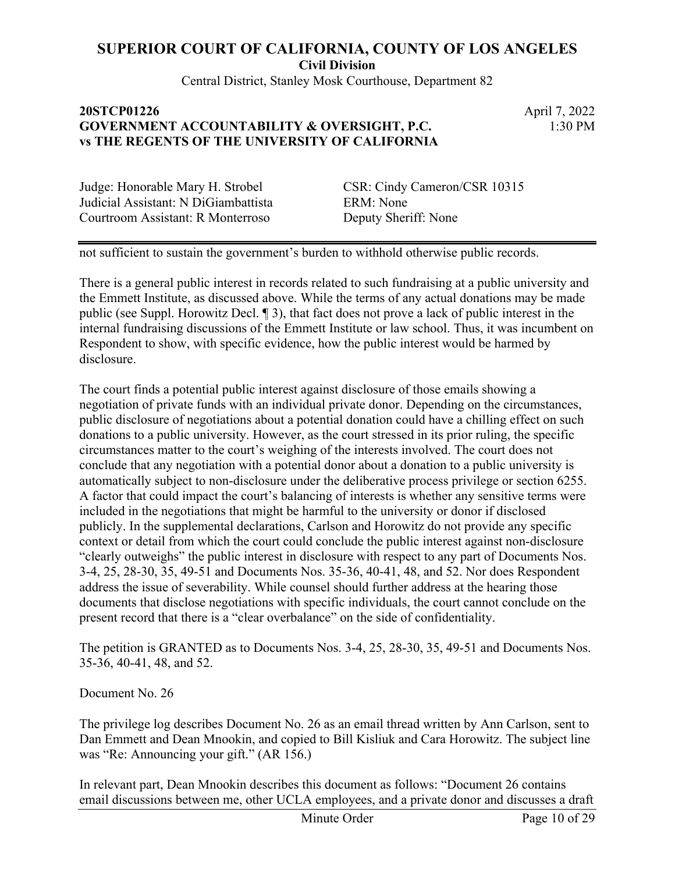Central District, Stanley Mosk Courthouse, Department 82

#### **20STCP01226** April 7, 2022 **GOVERNMENT ACCOUNTABILITY & OVERSIGHT, P.C. vs THE REGENTS OF THE UNIVERSITY OF CALIFORNIA**

1:30 PM

Judge: Honorable Mary H. Strobel CSR: Cindy Cameron/CSR 10315 Judicial Assistant: N DiGiambattista ERM: None Courtroom Assistant: R Monterroso Deputy Sheriff: None

not sufficient to sustain the government's burden to withhold otherwise public records.

There is a general public interest in records related to such fundraising at a public university and the Emmett Institute, as discussed above. While the terms of any actual donations may be made public (see Suppl. Horowitz Decl. ¶ 3), that fact does not prove a lack of public interest in the internal fundraising discussions of the Emmett Institute or law school. Thus, it was incumbent on Respondent to show, with specific evidence, how the public interest would be harmed by disclosure.

The court finds a potential public interest against disclosure of those emails showing a negotiation of private funds with an individual private donor. Depending on the circumstances, public disclosure of negotiations about a potential donation could have a chilling effect on such donations to a public university. However, as the court stressed in its prior ruling, the specific circumstances matter to the court's weighing of the interests involved. The court does not conclude that any negotiation with a potential donor about a donation to a public university is automatically subject to non-disclosure under the deliberative process privilege or section 6255. A factor that could impact the court's balancing of interests is whether any sensitive terms were included in the negotiations that might be harmful to the university or donor if disclosed publicly. In the supplemental declarations, Carlson and Horowitz do not provide any specific context or detail from which the court could conclude the public interest against non-disclosure "clearly outweighs" the public interest in disclosure with respect to any part of Documents Nos. 3-4, 25, 28-30, 35, 49-51 and Documents Nos. 35-36, 40-41, 48, and 52. Nor does Respondent address the issue of severability. While counsel should further address at the hearing those documents that disclose negotiations with specific individuals, the court cannot conclude on the present record that there is a "clear overbalance" on the side of confidentiality.

The petition is GRANTED as to Documents Nos. 3-4, 25, 28-30, 35, 49-51 and Documents Nos. 35-36, 40-41, 48, and 52.

Document No. 26

The privilege log describes Document No. 26 as an email thread written by Ann Carlson, sent to Dan Emmett and Dean Mnookin, and copied to Bill Kisliuk and Cara Horowitz. The subject line was "Re: Announcing your gift." (AR 156.)

In relevant part, Dean Mnookin describes this document as follows: "Document 26 contains email discussions between me, other UCLA employees, and a private donor and discusses a draft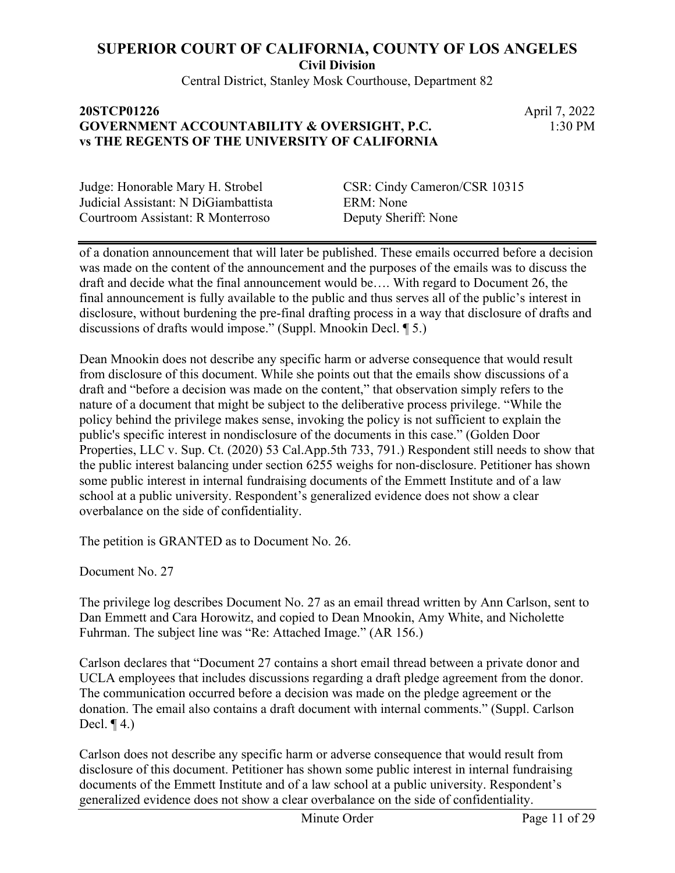Central District, Stanley Mosk Courthouse, Department 82

### **20STCP01226** April 7, 2022 **GOVERNMENT ACCOUNTABILITY & OVERSIGHT, P.C. vs THE REGENTS OF THE UNIVERSITY OF CALIFORNIA**

1:30 PM

Judicial Assistant: N DiGiambattista ERM: None Courtroom Assistant: R Monterroso Deputy Sheriff: None

Judge: Honorable Mary H. Strobel CSR: Cindy Cameron/CSR 10315

of a donation announcement that will later be published. These emails occurred before a decision was made on the content of the announcement and the purposes of the emails was to discuss the draft and decide what the final announcement would be…. With regard to Document 26, the final announcement is fully available to the public and thus serves all of the public's interest in disclosure, without burdening the pre-final drafting process in a way that disclosure of drafts and discussions of drafts would impose." (Suppl. Mnookin Decl. ¶ 5.)

Dean Mnookin does not describe any specific harm or adverse consequence that would result from disclosure of this document. While she points out that the emails show discussions of a draft and "before a decision was made on the content," that observation simply refers to the nature of a document that might be subject to the deliberative process privilege. "While the policy behind the privilege makes sense, invoking the policy is not sufficient to explain the public's specific interest in nondisclosure of the documents in this case." (Golden Door Properties, LLC v. Sup. Ct. (2020) 53 Cal.App.5th 733, 791.) Respondent still needs to show that the public interest balancing under section 6255 weighs for non-disclosure. Petitioner has shown some public interest in internal fundraising documents of the Emmett Institute and of a law school at a public university. Respondent's generalized evidence does not show a clear overbalance on the side of confidentiality.

The petition is GRANTED as to Document No. 26.

Document No. 27

The privilege log describes Document No. 27 as an email thread written by Ann Carlson, sent to Dan Emmett and Cara Horowitz, and copied to Dean Mnookin, Amy White, and Nicholette Fuhrman. The subject line was "Re: Attached Image." (AR 156.)

Carlson declares that "Document 27 contains a short email thread between a private donor and UCLA employees that includes discussions regarding a draft pledge agreement from the donor. The communication occurred before a decision was made on the pledge agreement or the donation. The email also contains a draft document with internal comments." (Suppl. Carlson Decl.  $\P$ 4.)

Carlson does not describe any specific harm or adverse consequence that would result from disclosure of this document. Petitioner has shown some public interest in internal fundraising documents of the Emmett Institute and of a law school at a public university. Respondent's generalized evidence does not show a clear overbalance on the side of confidentiality.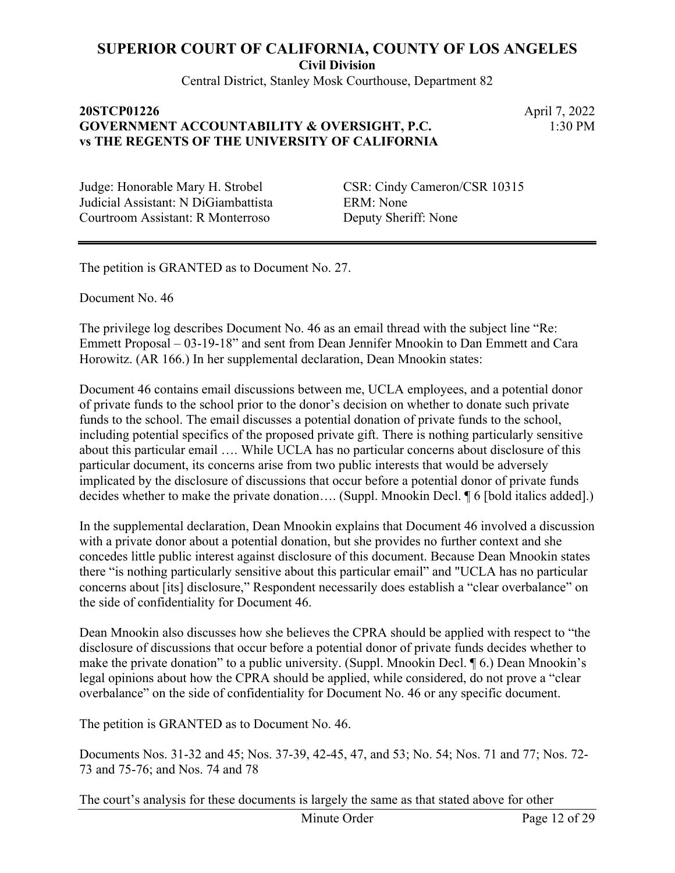**Civil Division**

Central District, Stanley Mosk Courthouse, Department 82

## **20STCP01226** April 7, 2022 **GOVERNMENT ACCOUNTABILITY & OVERSIGHT, P.C. vs THE REGENTS OF THE UNIVERSITY OF CALIFORNIA**

1:30 PM

Judicial Assistant: N DiGiambattista ERM: None Courtroom Assistant: R Monterroso Deputy Sheriff: None

Judge: Honorable Mary H. Strobel CSR: Cindy Cameron/CSR 10315

The petition is GRANTED as to Document No. 27.

Document No. 46

The privilege log describes Document No. 46 as an email thread with the subject line "Re: Emmett Proposal – 03-19-18" and sent from Dean Jennifer Mnookin to Dan Emmett and Cara Horowitz. (AR 166.) In her supplemental declaration, Dean Mnookin states:

Document 46 contains email discussions between me, UCLA employees, and a potential donor of private funds to the school prior to the donor's decision on whether to donate such private funds to the school. The email discusses a potential donation of private funds to the school, including potential specifics of the proposed private gift. There is nothing particularly sensitive about this particular email …. While UCLA has no particular concerns about disclosure of this particular document, its concerns arise from two public interests that would be adversely implicated by the disclosure of discussions that occur before a potential donor of private funds decides whether to make the private donation…. (Suppl. Mnookin Decl. ¶ 6 [bold italics added].)

In the supplemental declaration, Dean Mnookin explains that Document 46 involved a discussion with a private donor about a potential donation, but she provides no further context and she concedes little public interest against disclosure of this document. Because Dean Mnookin states there "is nothing particularly sensitive about this particular email" and "UCLA has no particular concerns about [its] disclosure," Respondent necessarily does establish a "clear overbalance" on the side of confidentiality for Document 46.

Dean Mnookin also discusses how she believes the CPRA should be applied with respect to "the disclosure of discussions that occur before a potential donor of private funds decides whether to make the private donation" to a public university. (Suppl. Mnookin Decl. ¶ 6.) Dean Mnookin's legal opinions about how the CPRA should be applied, while considered, do not prove a "clear overbalance" on the side of confidentiality for Document No. 46 or any specific document.

The petition is GRANTED as to Document No. 46.

Documents Nos. 31-32 and 45; Nos. 37-39, 42-45, 47, and 53; No. 54; Nos. 71 and 77; Nos. 72- 73 and 75-76; and Nos. 74 and 78

The court's analysis for these documents is largely the same as that stated above for other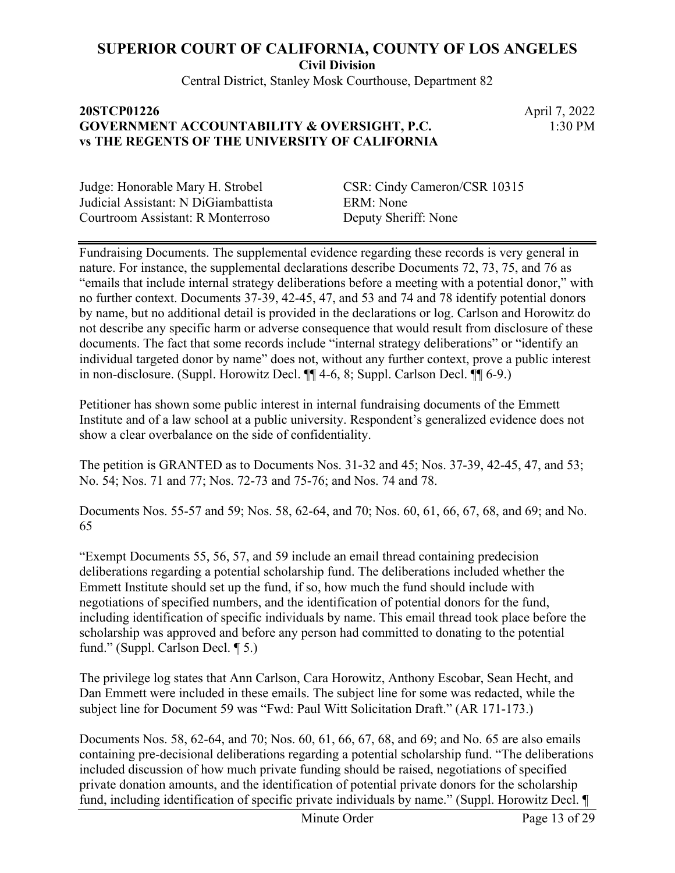Central District, Stanley Mosk Courthouse, Department 82

#### **20STCP01226** April 7, 2022 **GOVERNMENT ACCOUNTABILITY & OVERSIGHT, P.C. vs THE REGENTS OF THE UNIVERSITY OF CALIFORNIA**

1:30 PM

Judicial Assistant: N DiGiambattista ERM: None Courtroom Assistant: R Monterroso Deputy Sheriff: None

Judge: Honorable Mary H. Strobel CSR: Cindy Cameron/CSR 10315

Fundraising Documents. The supplemental evidence regarding these records is very general in nature. For instance, the supplemental declarations describe Documents 72, 73, 75, and 76 as "emails that include internal strategy deliberations before a meeting with a potential donor," with no further context. Documents 37-39, 42-45, 47, and 53 and 74 and 78 identify potential donors by name, but no additional detail is provided in the declarations or log. Carlson and Horowitz do not describe any specific harm or adverse consequence that would result from disclosure of these documents. The fact that some records include "internal strategy deliberations" or "identify an individual targeted donor by name" does not, without any further context, prove a public interest in non-disclosure. (Suppl. Horowitz Decl. ¶¶ 4-6, 8; Suppl. Carlson Decl. ¶¶ 6-9.)

Petitioner has shown some public interest in internal fundraising documents of the Emmett Institute and of a law school at a public university. Respondent's generalized evidence does not show a clear overbalance on the side of confidentiality.

The petition is GRANTED as to Documents Nos. 31-32 and 45; Nos. 37-39, 42-45, 47, and 53; No. 54; Nos. 71 and 77; Nos. 72-73 and 75-76; and Nos. 74 and 78.

Documents Nos. 55-57 and 59; Nos. 58, 62-64, and 70; Nos. 60, 61, 66, 67, 68, and 69; and No. 65

"Exempt Documents 55, 56, 57, and 59 include an email thread containing predecision deliberations regarding a potential scholarship fund. The deliberations included whether the Emmett Institute should set up the fund, if so, how much the fund should include with negotiations of specified numbers, and the identification of potential donors for the fund, including identification of specific individuals by name. This email thread took place before the scholarship was approved and before any person had committed to donating to the potential fund." (Suppl. Carlson Decl. ¶ 5.)

The privilege log states that Ann Carlson, Cara Horowitz, Anthony Escobar, Sean Hecht, and Dan Emmett were included in these emails. The subject line for some was redacted, while the subject line for Document 59 was "Fwd: Paul Witt Solicitation Draft." (AR 171-173.)

Documents Nos. 58, 62-64, and 70; Nos. 60, 61, 66, 67, 68, and 69; and No. 65 are also emails containing pre-decisional deliberations regarding a potential scholarship fund. "The deliberations included discussion of how much private funding should be raised, negotiations of specified private donation amounts, and the identification of potential private donors for the scholarship fund, including identification of specific private individuals by name." (Suppl. Horowitz Decl. ¶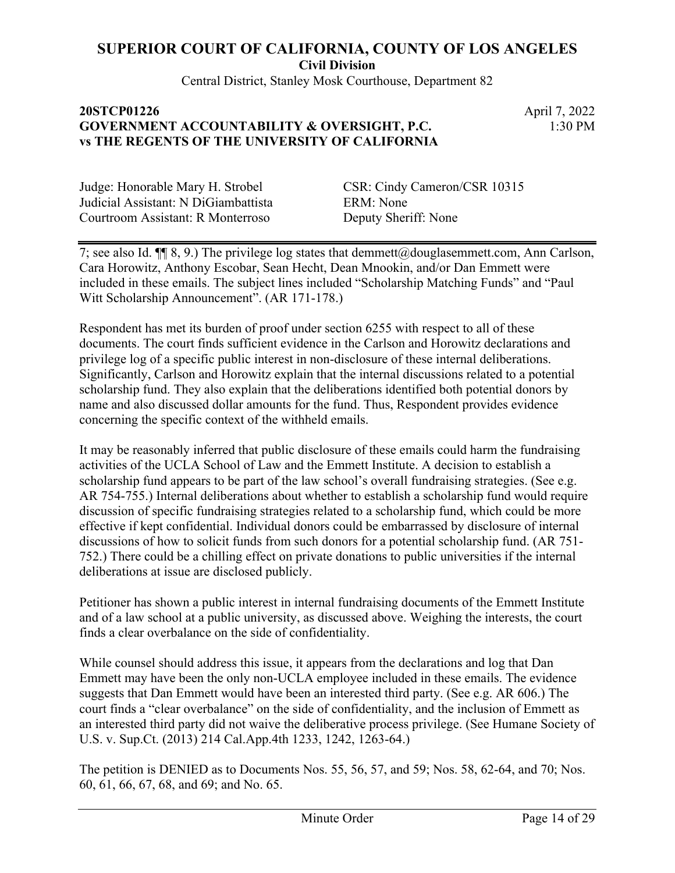Central District, Stanley Mosk Courthouse, Department 82

### **20STCP01226** April 7, 2022 **GOVERNMENT ACCOUNTABILITY & OVERSIGHT, P.C. vs THE REGENTS OF THE UNIVERSITY OF CALIFORNIA**

1:30 PM

Judicial Assistant: N DiGiambattista ERM: None Courtroom Assistant: R Monterroso Deputy Sheriff: None

Judge: Honorable Mary H. Strobel CSR: Cindy Cameron/CSR 10315

7; see also Id. ¶¶ 8, 9.) The privilege log states that demmett@douglasemmett.com, Ann Carlson, Cara Horowitz, Anthony Escobar, Sean Hecht, Dean Mnookin, and/or Dan Emmett were included in these emails. The subject lines included "Scholarship Matching Funds" and "Paul Witt Scholarship Announcement". (AR 171-178.)

Respondent has met its burden of proof under section 6255 with respect to all of these documents. The court finds sufficient evidence in the Carlson and Horowitz declarations and privilege log of a specific public interest in non-disclosure of these internal deliberations. Significantly, Carlson and Horowitz explain that the internal discussions related to a potential scholarship fund. They also explain that the deliberations identified both potential donors by name and also discussed dollar amounts for the fund. Thus, Respondent provides evidence concerning the specific context of the withheld emails.

It may be reasonably inferred that public disclosure of these emails could harm the fundraising activities of the UCLA School of Law and the Emmett Institute. A decision to establish a scholarship fund appears to be part of the law school's overall fundraising strategies. (See e.g. AR 754-755.) Internal deliberations about whether to establish a scholarship fund would require discussion of specific fundraising strategies related to a scholarship fund, which could be more effective if kept confidential. Individual donors could be embarrassed by disclosure of internal discussions of how to solicit funds from such donors for a potential scholarship fund. (AR 751- 752.) There could be a chilling effect on private donations to public universities if the internal deliberations at issue are disclosed publicly.

Petitioner has shown a public interest in internal fundraising documents of the Emmett Institute and of a law school at a public university, as discussed above. Weighing the interests, the court finds a clear overbalance on the side of confidentiality.

While counsel should address this issue, it appears from the declarations and log that Dan Emmett may have been the only non-UCLA employee included in these emails. The evidence suggests that Dan Emmett would have been an interested third party. (See e.g. AR 606.) The court finds a "clear overbalance" on the side of confidentiality, and the inclusion of Emmett as an interested third party did not waive the deliberative process privilege. (See Humane Society of U.S. v. Sup.Ct. (2013) 214 Cal.App.4th 1233, 1242, 1263-64.)

The petition is DENIED as to Documents Nos. 55, 56, 57, and 59; Nos. 58, 62-64, and 70; Nos. 60, 61, 66, 67, 68, and 69; and No. 65.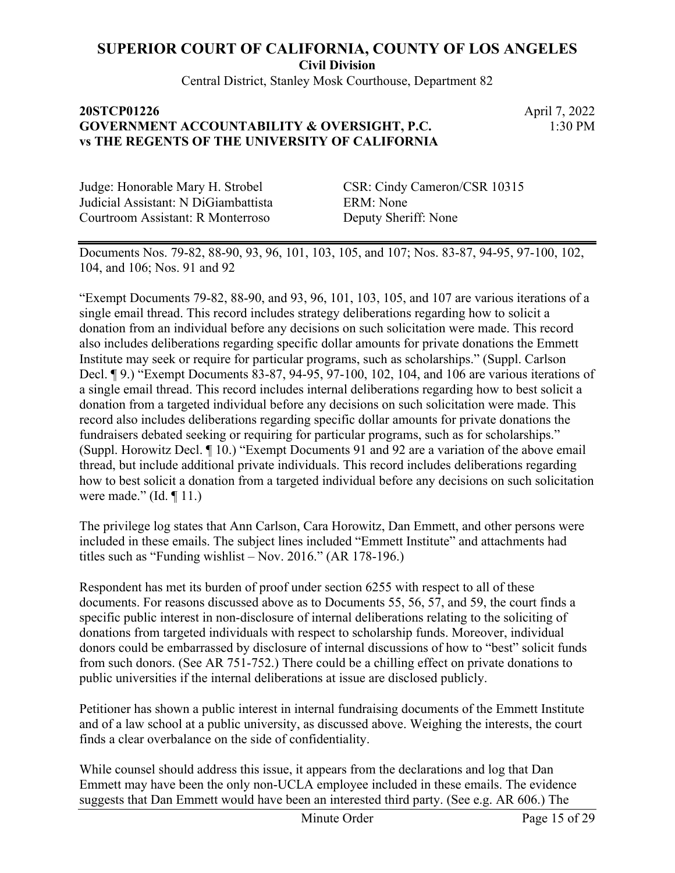Central District, Stanley Mosk Courthouse, Department 82

## **20STCP01226** April 7, 2022 **GOVERNMENT ACCOUNTABILITY & OVERSIGHT, P.C. vs THE REGENTS OF THE UNIVERSITY OF CALIFORNIA**

1:30 PM

Judicial Assistant: N DiGiambattista ERM: None Courtroom Assistant: R Monterroso Deputy Sheriff: None

Judge: Honorable Mary H. Strobel CSR: Cindy Cameron/CSR 10315

Documents Nos. 79-82, 88-90, 93, 96, 101, 103, 105, and 107; Nos. 83-87, 94-95, 97-100, 102, 104, and 106; Nos. 91 and 92

"Exempt Documents 79-82, 88-90, and 93, 96, 101, 103, 105, and 107 are various iterations of a single email thread. This record includes strategy deliberations regarding how to solicit a donation from an individual before any decisions on such solicitation were made. This record also includes deliberations regarding specific dollar amounts for private donations the Emmett Institute may seek or require for particular programs, such as scholarships." (Suppl. Carlson Decl. ¶ 9.) "Exempt Documents 83-87, 94-95, 97-100, 102, 104, and 106 are various iterations of a single email thread. This record includes internal deliberations regarding how to best solicit a donation from a targeted individual before any decisions on such solicitation were made. This record also includes deliberations regarding specific dollar amounts for private donations the fundraisers debated seeking or requiring for particular programs, such as for scholarships." (Suppl. Horowitz Decl. ¶ 10.) "Exempt Documents 91 and 92 are a variation of the above email thread, but include additional private individuals. This record includes deliberations regarding how to best solicit a donation from a targeted individual before any decisions on such solicitation were made." (Id. ¶ 11.)

The privilege log states that Ann Carlson, Cara Horowitz, Dan Emmett, and other persons were included in these emails. The subject lines included "Emmett Institute" and attachments had titles such as "Funding wishlist – Nov. 2016." (AR 178-196.)

Respondent has met its burden of proof under section 6255 with respect to all of these documents. For reasons discussed above as to Documents 55, 56, 57, and 59, the court finds a specific public interest in non-disclosure of internal deliberations relating to the soliciting of donations from targeted individuals with respect to scholarship funds. Moreover, individual donors could be embarrassed by disclosure of internal discussions of how to "best" solicit funds from such donors. (See AR 751-752.) There could be a chilling effect on private donations to public universities if the internal deliberations at issue are disclosed publicly.

Petitioner has shown a public interest in internal fundraising documents of the Emmett Institute and of a law school at a public university, as discussed above. Weighing the interests, the court finds a clear overbalance on the side of confidentiality.

While counsel should address this issue, it appears from the declarations and log that Dan Emmett may have been the only non-UCLA employee included in these emails. The evidence suggests that Dan Emmett would have been an interested third party. (See e.g. AR 606.) The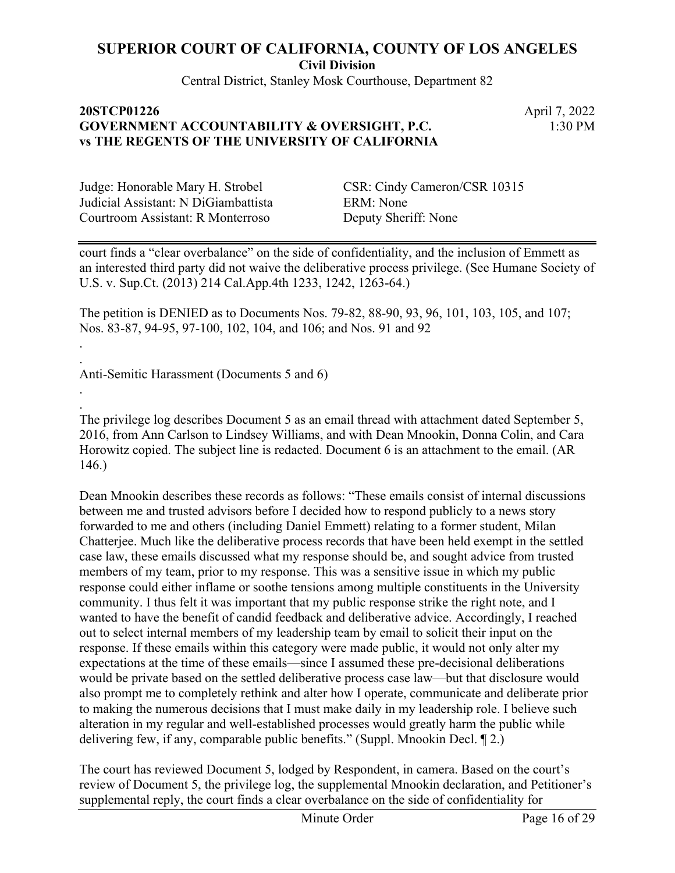Central District, Stanley Mosk Courthouse, Department 82

## **20STCP01226** April 7, 2022 **GOVERNMENT ACCOUNTABILITY & OVERSIGHT, P.C. vs THE REGENTS OF THE UNIVERSITY OF CALIFORNIA**

1:30 PM

Judicial Assistant: N DiGiambattista ERM: None Courtroom Assistant: R Monterroso Deputy Sheriff: None

. .

. .

Judge: Honorable Mary H. Strobel CSR: Cindy Cameron/CSR 10315

court finds a "clear overbalance" on the side of confidentiality, and the inclusion of Emmett as an interested third party did not waive the deliberative process privilege. (See Humane Society of U.S. v. Sup.Ct. (2013) 214 Cal.App.4th 1233, 1242, 1263-64.)

The petition is DENIED as to Documents Nos. 79-82, 88-90, 93, 96, 101, 103, 105, and 107; Nos. 83-87, 94-95, 97-100, 102, 104, and 106; and Nos. 91 and 92

Anti-Semitic Harassment (Documents 5 and 6)

The privilege log describes Document 5 as an email thread with attachment dated September 5, 2016, from Ann Carlson to Lindsey Williams, and with Dean Mnookin, Donna Colin, and Cara Horowitz copied. The subject line is redacted. Document 6 is an attachment to the email. (AR 146.)

Dean Mnookin describes these records as follows: "These emails consist of internal discussions between me and trusted advisors before I decided how to respond publicly to a news story forwarded to me and others (including Daniel Emmett) relating to a former student, Milan Chatterjee. Much like the deliberative process records that have been held exempt in the settled case law, these emails discussed what my response should be, and sought advice from trusted members of my team, prior to my response. This was a sensitive issue in which my public response could either inflame or soothe tensions among multiple constituents in the University community. I thus felt it was important that my public response strike the right note, and I wanted to have the benefit of candid feedback and deliberative advice. Accordingly, I reached out to select internal members of my leadership team by email to solicit their input on the response. If these emails within this category were made public, it would not only alter my expectations at the time of these emails—since I assumed these pre-decisional deliberations would be private based on the settled deliberative process case law—but that disclosure would also prompt me to completely rethink and alter how I operate, communicate and deliberate prior to making the numerous decisions that I must make daily in my leadership role. I believe such alteration in my regular and well-established processes would greatly harm the public while delivering few, if any, comparable public benefits." (Suppl. Mnookin Decl. ¶ 2.)

The court has reviewed Document 5, lodged by Respondent, in camera. Based on the court's review of Document 5, the privilege log, the supplemental Mnookin declaration, and Petitioner's supplemental reply, the court finds a clear overbalance on the side of confidentiality for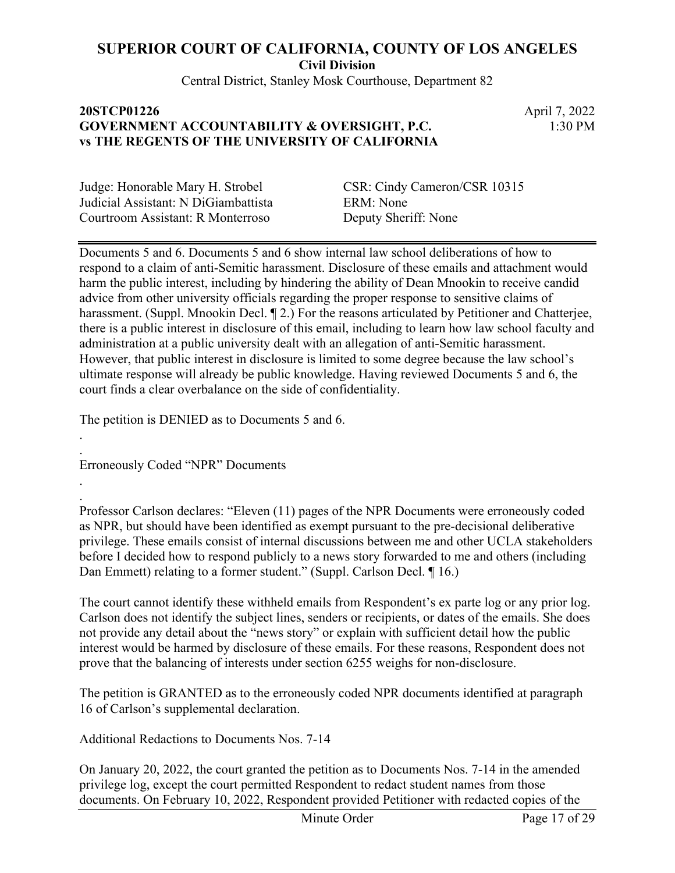Central District, Stanley Mosk Courthouse, Department 82

### **20STCP01226** April 7, 2022 **GOVERNMENT ACCOUNTABILITY & OVERSIGHT, P.C. vs THE REGENTS OF THE UNIVERSITY OF CALIFORNIA**

1:30 PM

Judicial Assistant: N DiGiambattista ERM: None Courtroom Assistant: R Monterroso Deputy Sheriff: None

Judge: Honorable Mary H. Strobel CSR: Cindy Cameron/CSR 10315

Documents 5 and 6. Documents 5 and 6 show internal law school deliberations of how to respond to a claim of anti-Semitic harassment. Disclosure of these emails and attachment would harm the public interest, including by hindering the ability of Dean Mnookin to receive candid advice from other university officials regarding the proper response to sensitive claims of harassment. (Suppl. Mnookin Decl. ¶ 2.) For the reasons articulated by Petitioner and Chatterjee, there is a public interest in disclosure of this email, including to learn how law school faculty and administration at a public university dealt with an allegation of anti-Semitic harassment. However, that public interest in disclosure is limited to some degree because the law school's ultimate response will already be public knowledge. Having reviewed Documents 5 and 6, the court finds a clear overbalance on the side of confidentiality.

The petition is DENIED as to Documents 5 and 6.

Erroneously Coded "NPR" Documents

. .

.

. Professor Carlson declares: "Eleven (11) pages of the NPR Documents were erroneously coded as NPR, but should have been identified as exempt pursuant to the pre-decisional deliberative privilege. These emails consist of internal discussions between me and other UCLA stakeholders before I decided how to respond publicly to a news story forwarded to me and others (including Dan Emmett) relating to a former student." (Suppl. Carlson Decl. ¶ 16.)

The court cannot identify these withheld emails from Respondent's ex parte log or any prior log. Carlson does not identify the subject lines, senders or recipients, or dates of the emails. She does not provide any detail about the "news story" or explain with sufficient detail how the public interest would be harmed by disclosure of these emails. For these reasons, Respondent does not prove that the balancing of interests under section 6255 weighs for non-disclosure.

The petition is GRANTED as to the erroneously coded NPR documents identified at paragraph 16 of Carlson's supplemental declaration.

Additional Redactions to Documents Nos. 7-14

On January 20, 2022, the court granted the petition as to Documents Nos. 7-14 in the amended privilege log, except the court permitted Respondent to redact student names from those documents. On February 10, 2022, Respondent provided Petitioner with redacted copies of the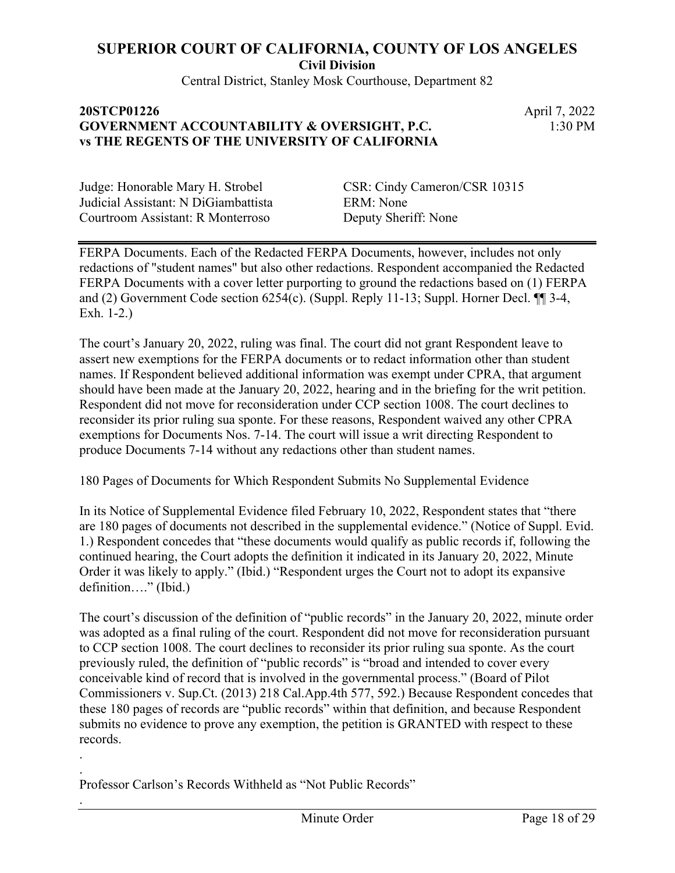Central District, Stanley Mosk Courthouse, Department 82

## **20STCP01226** April 7, 2022 **GOVERNMENT ACCOUNTABILITY & OVERSIGHT, P.C. vs THE REGENTS OF THE UNIVERSITY OF CALIFORNIA**

1:30 PM

Judicial Assistant: N DiGiambattista ERM: None Courtroom Assistant: R Monterroso Deputy Sheriff: None

Judge: Honorable Mary H. Strobel CSR: Cindy Cameron/CSR 10315

FERPA Documents. Each of the Redacted FERPA Documents, however, includes not only redactions of "student names" but also other redactions. Respondent accompanied the Redacted FERPA Documents with a cover letter purporting to ground the redactions based on (1) FERPA and (2) Government Code section 6254(c). (Suppl. Reply 11-13; Suppl. Horner Decl. ¶¶ 3-4, Exh. 1-2.)

The court's January 20, 2022, ruling was final. The court did not grant Respondent leave to assert new exemptions for the FERPA documents or to redact information other than student names. If Respondent believed additional information was exempt under CPRA, that argument should have been made at the January 20, 2022, hearing and in the briefing for the writ petition. Respondent did not move for reconsideration under CCP section 1008. The court declines to reconsider its prior ruling sua sponte. For these reasons, Respondent waived any other CPRA exemptions for Documents Nos. 7-14. The court will issue a writ directing Respondent to produce Documents 7-14 without any redactions other than student names.

180 Pages of Documents for Which Respondent Submits No Supplemental Evidence

In its Notice of Supplemental Evidence filed February 10, 2022, Respondent states that "there are 180 pages of documents not described in the supplemental evidence." (Notice of Suppl. Evid. 1.) Respondent concedes that "these documents would qualify as public records if, following the continued hearing, the Court adopts the definition it indicated in its January 20, 2022, Minute Order it was likely to apply." (Ibid.) "Respondent urges the Court not to adopt its expansive definition…." (Ibid.)

The court's discussion of the definition of "public records" in the January 20, 2022, minute order was adopted as a final ruling of the court. Respondent did not move for reconsideration pursuant to CCP section 1008. The court declines to reconsider its prior ruling sua sponte. As the court previously ruled, the definition of "public records" is "broad and intended to cover every conceivable kind of record that is involved in the governmental process." (Board of Pilot Commissioners v. Sup.Ct. (2013) 218 Cal.App.4th 577, 592.) Because Respondent concedes that these 180 pages of records are "public records" within that definition, and because Respondent submits no evidence to prove any exemption, the petition is GRANTED with respect to these records.

. Professor Carlson's Records Withheld as "Not Public Records"

.

.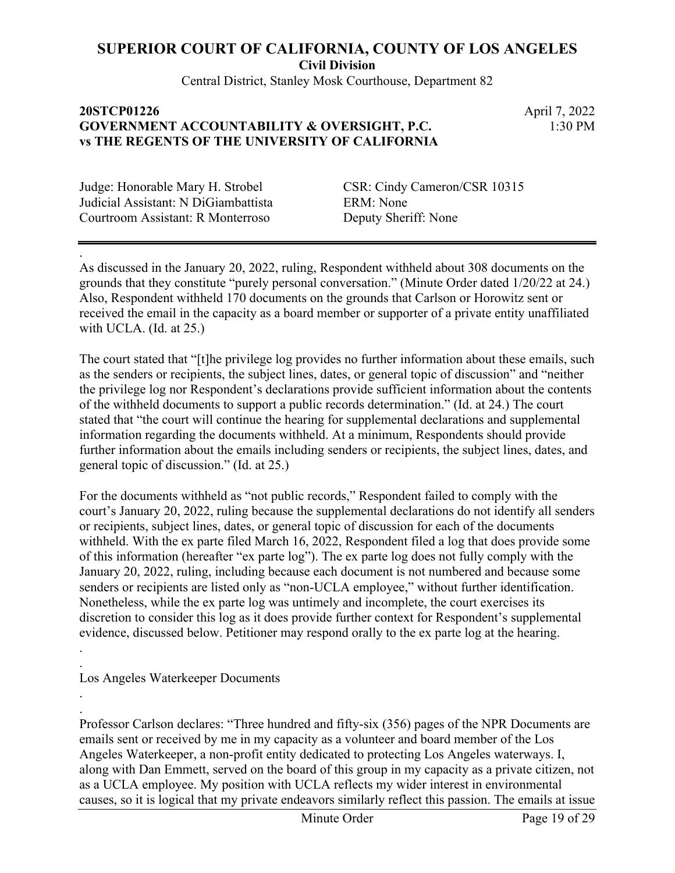**Civil Division**

Central District, Stanley Mosk Courthouse, Department 82

#### **20STCP01226** April 7, 2022 **GOVERNMENT ACCOUNTABILITY & OVERSIGHT, P.C. vs THE REGENTS OF THE UNIVERSITY OF CALIFORNIA**

1:30 PM

Judicial Assistant: N DiGiambattista ERM: None Courtroom Assistant: R Monterroso Deputy Sheriff: None

.

.

.

Judge: Honorable Mary H. Strobel CSR: Cindy Cameron/CSR 10315

As discussed in the January 20, 2022, ruling, Respondent withheld about 308 documents on the grounds that they constitute "purely personal conversation." (Minute Order dated 1/20/22 at 24.) Also, Respondent withheld 170 documents on the grounds that Carlson or Horowitz sent or received the email in the capacity as a board member or supporter of a private entity unaffiliated with UCLA. (Id. at 25.)

The court stated that "[t]he privilege log provides no further information about these emails, such as the senders or recipients, the subject lines, dates, or general topic of discussion" and "neither the privilege log nor Respondent's declarations provide sufficient information about the contents of the withheld documents to support a public records determination." (Id. at 24.) The court stated that "the court will continue the hearing for supplemental declarations and supplemental information regarding the documents withheld. At a minimum, Respondents should provide further information about the emails including senders or recipients, the subject lines, dates, and general topic of discussion." (Id. at 25.)

For the documents withheld as "not public records," Respondent failed to comply with the court's January 20, 2022, ruling because the supplemental declarations do not identify all senders or recipients, subject lines, dates, or general topic of discussion for each of the documents withheld. With the ex parte filed March 16, 2022, Respondent filed a log that does provide some of this information (hereafter "ex parte log"). The ex parte log does not fully comply with the January 20, 2022, ruling, including because each document is not numbered and because some senders or recipients are listed only as "non-UCLA employee," without further identification. Nonetheless, while the ex parte log was untimely and incomplete, the court exercises its discretion to consider this log as it does provide further context for Respondent's supplemental evidence, discussed below. Petitioner may respond orally to the ex parte log at the hearing. .

Los Angeles Waterkeeper Documents

. Professor Carlson declares: "Three hundred and fifty-six (356) pages of the NPR Documents are emails sent or received by me in my capacity as a volunteer and board member of the Los Angeles Waterkeeper, a non-profit entity dedicated to protecting Los Angeles waterways. I, along with Dan Emmett, served on the board of this group in my capacity as a private citizen, not as a UCLA employee. My position with UCLA reflects my wider interest in environmental causes, so it is logical that my private endeavors similarly reflect this passion. The emails at issue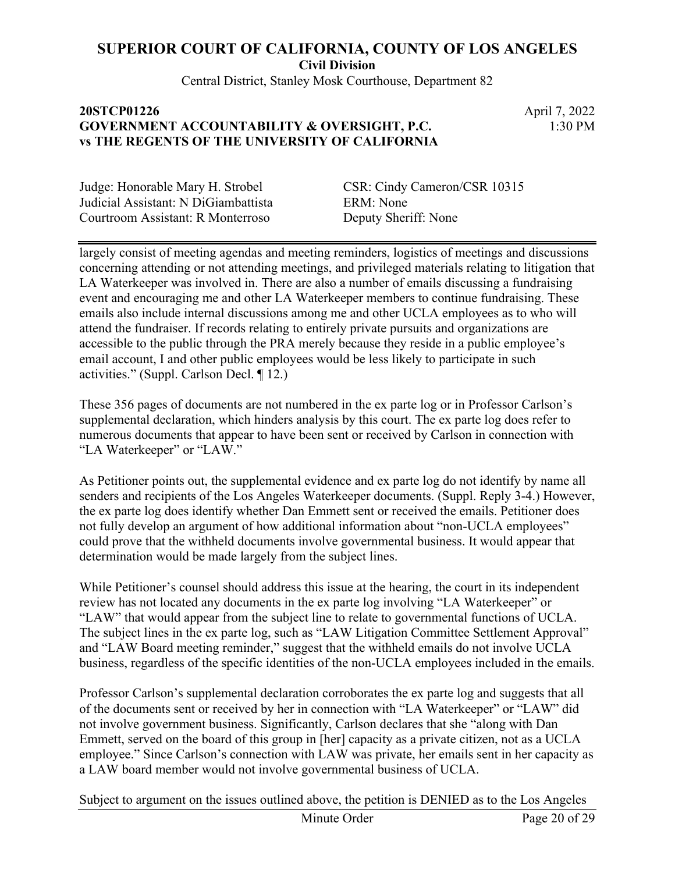Central District, Stanley Mosk Courthouse, Department 82

## **20STCP01226** April 7, 2022 **GOVERNMENT ACCOUNTABILITY & OVERSIGHT, P.C. vs THE REGENTS OF THE UNIVERSITY OF CALIFORNIA**

1:30 PM

Judicial Assistant: N DiGiambattista ERM: None Courtroom Assistant: R Monterroso Deputy Sheriff: None

Judge: Honorable Mary H. Strobel CSR: Cindy Cameron/CSR 10315

largely consist of meeting agendas and meeting reminders, logistics of meetings and discussions concerning attending or not attending meetings, and privileged materials relating to litigation that LA Waterkeeper was involved in. There are also a number of emails discussing a fundraising event and encouraging me and other LA Waterkeeper members to continue fundraising. These emails also include internal discussions among me and other UCLA employees as to who will attend the fundraiser. If records relating to entirely private pursuits and organizations are accessible to the public through the PRA merely because they reside in a public employee's email account, I and other public employees would be less likely to participate in such activities." (Suppl. Carlson Decl. ¶ 12.)

These 356 pages of documents are not numbered in the ex parte log or in Professor Carlson's supplemental declaration, which hinders analysis by this court. The ex parte log does refer to numerous documents that appear to have been sent or received by Carlson in connection with "LA Waterkeeper" or "LAW."

As Petitioner points out, the supplemental evidence and ex parte log do not identify by name all senders and recipients of the Los Angeles Waterkeeper documents. (Suppl. Reply 3-4.) However, the ex parte log does identify whether Dan Emmett sent or received the emails. Petitioner does not fully develop an argument of how additional information about "non-UCLA employees" could prove that the withheld documents involve governmental business. It would appear that determination would be made largely from the subject lines.

While Petitioner's counsel should address this issue at the hearing, the court in its independent review has not located any documents in the ex parte log involving "LA Waterkeeper" or "LAW" that would appear from the subject line to relate to governmental functions of UCLA. The subject lines in the ex parte log, such as "LAW Litigation Committee Settlement Approval" and "LAW Board meeting reminder," suggest that the withheld emails do not involve UCLA business, regardless of the specific identities of the non-UCLA employees included in the emails.

Professor Carlson's supplemental declaration corroborates the ex parte log and suggests that all of the documents sent or received by her in connection with "LA Waterkeeper" or "LAW" did not involve government business. Significantly, Carlson declares that she "along with Dan Emmett, served on the board of this group in [her] capacity as a private citizen, not as a UCLA employee." Since Carlson's connection with LAW was private, her emails sent in her capacity as a LAW board member would not involve governmental business of UCLA.

Subject to argument on the issues outlined above, the petition is DENIED as to the Los Angeles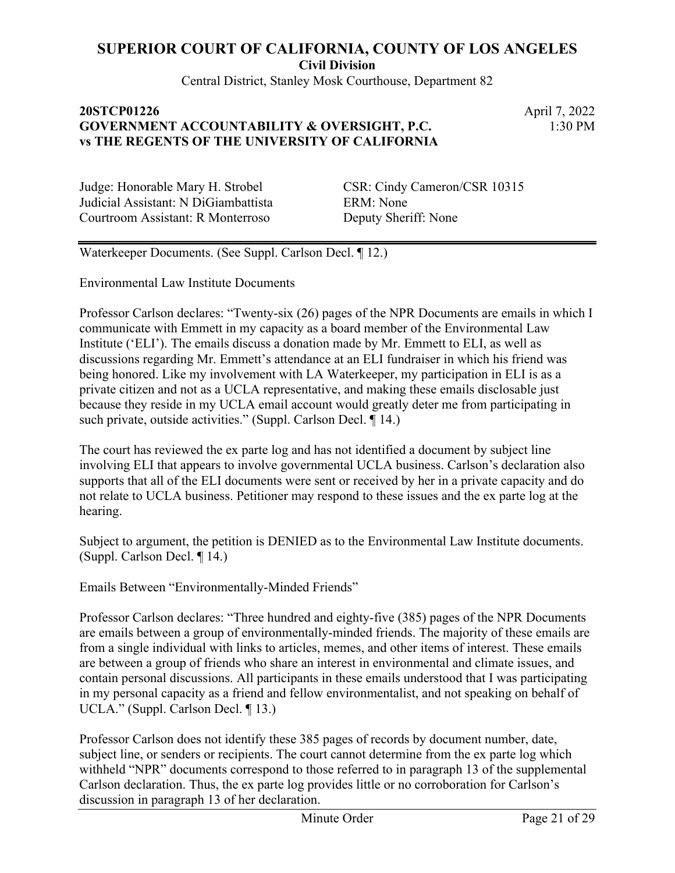Central District, Stanley Mosk Courthouse, Department 82

## **20STCP01226** April 7, 2022 **GOVERNMENT ACCOUNTABILITY & OVERSIGHT, P.C. vs THE REGENTS OF THE UNIVERSITY OF CALIFORNIA**

1:30 PM

Judicial Assistant: N DiGiambattista ERM: None Courtroom Assistant: R Monterroso Deputy Sheriff: None

Judge: Honorable Mary H. Strobel CSR: Cindy Cameron/CSR 10315

Waterkeeper Documents. (See Suppl. Carlson Decl. ¶ 12.)

Environmental Law Institute Documents

Professor Carlson declares: "Twenty-six (26) pages of the NPR Documents are emails in which I communicate with Emmett in my capacity as a board member of the Environmental Law Institute ('ELI'). The emails discuss a donation made by Mr. Emmett to ELI, as well as discussions regarding Mr. Emmett's attendance at an ELI fundraiser in which his friend was being honored. Like my involvement with LA Waterkeeper, my participation in ELI is as a private citizen and not as a UCLA representative, and making these emails disclosable just because they reside in my UCLA email account would greatly deter me from participating in such private, outside activities." (Suppl. Carlson Decl. ¶ 14.)

The court has reviewed the ex parte log and has not identified a document by subject line involving ELI that appears to involve governmental UCLA business. Carlson's declaration also supports that all of the ELI documents were sent or received by her in a private capacity and do not relate to UCLA business. Petitioner may respond to these issues and the ex parte log at the hearing.

Subject to argument, the petition is DENIED as to the Environmental Law Institute documents. (Suppl. Carlson Decl. ¶ 14.)

Emails Between "Environmentally-Minded Friends"

Professor Carlson declares: "Three hundred and eighty-five (385) pages of the NPR Documents are emails between a group of environmentally-minded friends. The majority of these emails are from a single individual with links to articles, memes, and other items of interest. These emails are between a group of friends who share an interest in environmental and climate issues, and contain personal discussions. All participants in these emails understood that I was participating in my personal capacity as a friend and fellow environmentalist, and not speaking on behalf of UCLA." (Suppl. Carlson Decl. ¶ 13.)

Professor Carlson does not identify these 385 pages of records by document number, date, subject line, or senders or recipients. The court cannot determine from the ex parte log which withheld "NPR" documents correspond to those referred to in paragraph 13 of the supplemental Carlson declaration. Thus, the ex parte log provides little or no corroboration for Carlson's discussion in paragraph 13 of her declaration.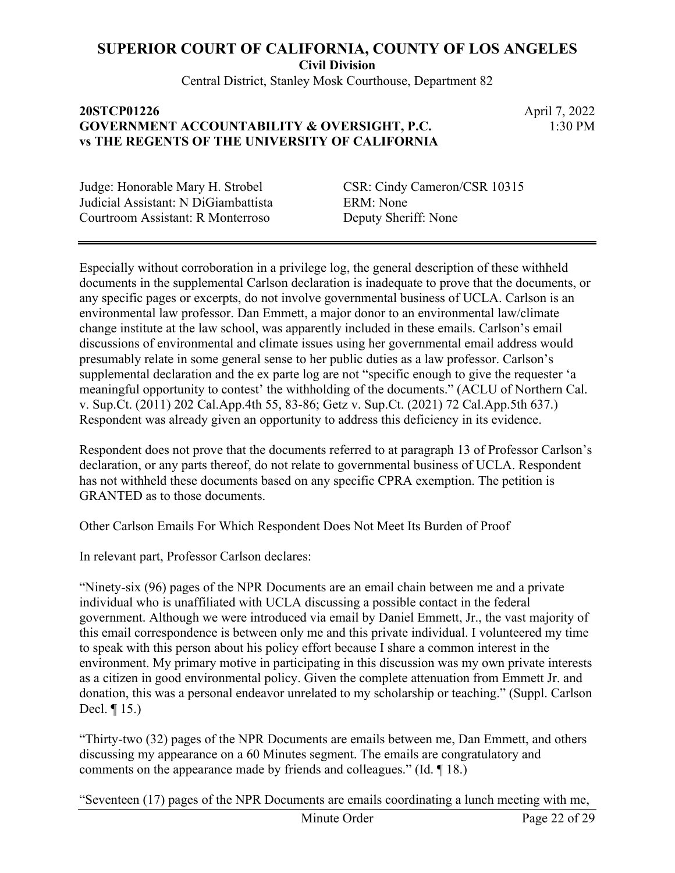Central District, Stanley Mosk Courthouse, Department 82

## **20STCP01226** April 7, 2022 **GOVERNMENT ACCOUNTABILITY & OVERSIGHT, P.C. vs THE REGENTS OF THE UNIVERSITY OF CALIFORNIA**

1:30 PM

Judicial Assistant: N DiGiambattista ERM: None Courtroom Assistant: R Monterroso Deputy Sheriff: None

Judge: Honorable Mary H. Strobel CSR: Cindy Cameron/CSR 10315

Especially without corroboration in a privilege log, the general description of these withheld documents in the supplemental Carlson declaration is inadequate to prove that the documents, or any specific pages or excerpts, do not involve governmental business of UCLA. Carlson is an environmental law professor. Dan Emmett, a major donor to an environmental law/climate change institute at the law school, was apparently included in these emails. Carlson's email discussions of environmental and climate issues using her governmental email address would presumably relate in some general sense to her public duties as a law professor. Carlson's supplemental declaration and the ex parte log are not "specific enough to give the requester 'a meaningful opportunity to contest' the withholding of the documents." (ACLU of Northern Cal. v. Sup.Ct. (2011) 202 Cal.App.4th 55, 83-86; Getz v. Sup.Ct. (2021) 72 Cal.App.5th 637.) Respondent was already given an opportunity to address this deficiency in its evidence.

Respondent does not prove that the documents referred to at paragraph 13 of Professor Carlson's declaration, or any parts thereof, do not relate to governmental business of UCLA. Respondent has not withheld these documents based on any specific CPRA exemption. The petition is GRANTED as to those documents.

Other Carlson Emails For Which Respondent Does Not Meet Its Burden of Proof

In relevant part, Professor Carlson declares:

"Ninety-six (96) pages of the NPR Documents are an email chain between me and a private individual who is unaffiliated with UCLA discussing a possible contact in the federal government. Although we were introduced via email by Daniel Emmett, Jr., the vast majority of this email correspondence is between only me and this private individual. I volunteered my time to speak with this person about his policy effort because I share a common interest in the environment. My primary motive in participating in this discussion was my own private interests as a citizen in good environmental policy. Given the complete attenuation from Emmett Jr. and donation, this was a personal endeavor unrelated to my scholarship or teaching." (Suppl. Carlson Decl. ¶ 15.)

"Thirty-two (32) pages of the NPR Documents are emails between me, Dan Emmett, and others discussing my appearance on a 60 Minutes segment. The emails are congratulatory and comments on the appearance made by friends and colleagues." (Id. ¶ 18.)

"Seventeen (17) pages of the NPR Documents are emails coordinating a lunch meeting with me,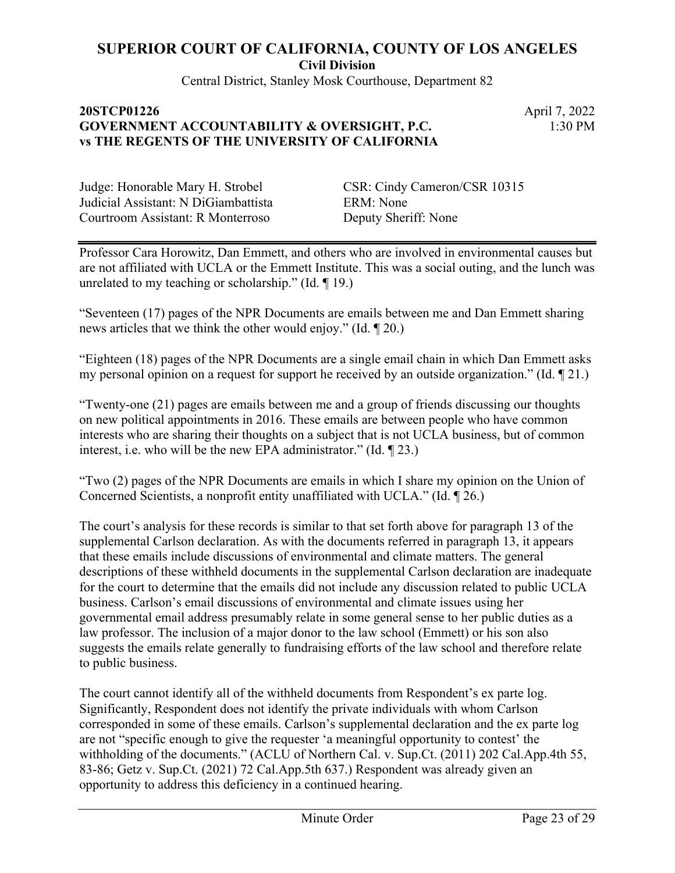Central District, Stanley Mosk Courthouse, Department 82

## **20STCP01226** April 7, 2022 **GOVERNMENT ACCOUNTABILITY & OVERSIGHT, P.C. vs THE REGENTS OF THE UNIVERSITY OF CALIFORNIA**

1:30 PM

Judge: Honorable Mary H. Strobel CSR: Cindy Cameron/CSR 10315 Judicial Assistant: N DiGiambattista ERM: None Courtroom Assistant: R Monterroso Deputy Sheriff: None

Professor Cara Horowitz, Dan Emmett, and others who are involved in environmental causes but are not affiliated with UCLA or the Emmett Institute. This was a social outing, and the lunch was unrelated to my teaching or scholarship." (Id. ¶ 19.)

"Seventeen (17) pages of the NPR Documents are emails between me and Dan Emmett sharing news articles that we think the other would enjoy." (Id. ¶ 20.)

"Eighteen (18) pages of the NPR Documents are a single email chain in which Dan Emmett asks my personal opinion on a request for support he received by an outside organization." (Id. ¶ 21.)

"Twenty-one (21) pages are emails between me and a group of friends discussing our thoughts on new political appointments in 2016. These emails are between people who have common interests who are sharing their thoughts on a subject that is not UCLA business, but of common interest, i.e. who will be the new EPA administrator." (Id. ¶ 23.)

"Two (2) pages of the NPR Documents are emails in which I share my opinion on the Union of Concerned Scientists, a nonprofit entity unaffiliated with UCLA." (Id. ¶ 26.)

The court's analysis for these records is similar to that set forth above for paragraph 13 of the supplemental Carlson declaration. As with the documents referred in paragraph 13, it appears that these emails include discussions of environmental and climate matters. The general descriptions of these withheld documents in the supplemental Carlson declaration are inadequate for the court to determine that the emails did not include any discussion related to public UCLA business. Carlson's email discussions of environmental and climate issues using her governmental email address presumably relate in some general sense to her public duties as a law professor. The inclusion of a major donor to the law school (Emmett) or his son also suggests the emails relate generally to fundraising efforts of the law school and therefore relate to public business.

The court cannot identify all of the withheld documents from Respondent's ex parte log. Significantly, Respondent does not identify the private individuals with whom Carlson corresponded in some of these emails. Carlson's supplemental declaration and the ex parte log are not "specific enough to give the requester 'a meaningful opportunity to contest' the withholding of the documents." (ACLU of Northern Cal. v. Sup.Ct. (2011) 202 Cal.App.4th 55, 83-86; Getz v. Sup.Ct. (2021) 72 Cal.App.5th 637.) Respondent was already given an opportunity to address this deficiency in a continued hearing.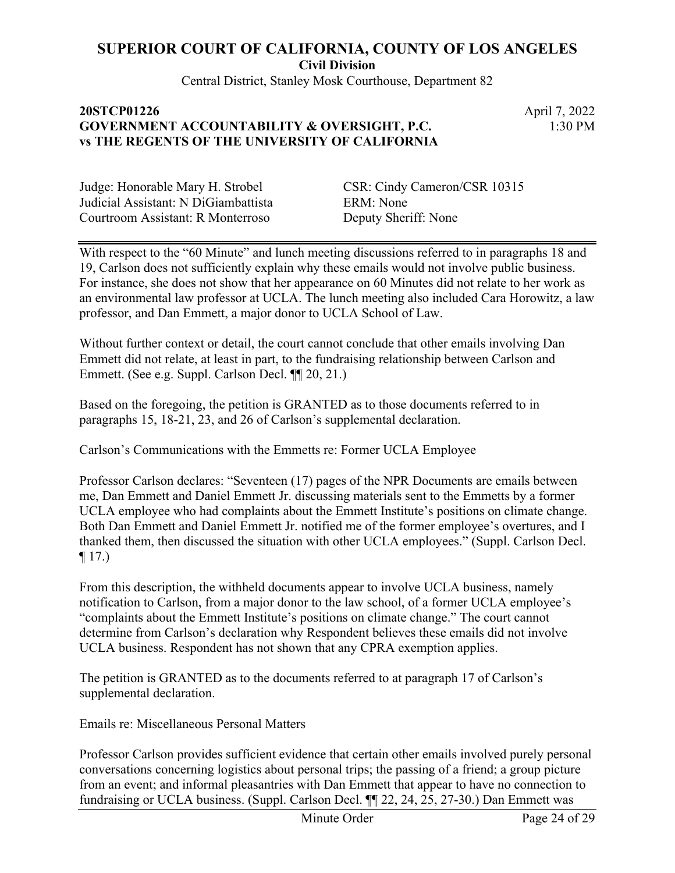Central District, Stanley Mosk Courthouse, Department 82

## **20STCP01226** April 7, 2022 **GOVERNMENT ACCOUNTABILITY & OVERSIGHT, P.C. vs THE REGENTS OF THE UNIVERSITY OF CALIFORNIA**

1:30 PM

Judicial Assistant: N DiGiambattista ERM: None Courtroom Assistant: R Monterroso Deputy Sheriff: None

Judge: Honorable Mary H. Strobel CSR: Cindy Cameron/CSR 10315

With respect to the "60 Minute" and lunch meeting discussions referred to in paragraphs 18 and 19, Carlson does not sufficiently explain why these emails would not involve public business. For instance, she does not show that her appearance on 60 Minutes did not relate to her work as an environmental law professor at UCLA. The lunch meeting also included Cara Horowitz, a law professor, and Dan Emmett, a major donor to UCLA School of Law.

Without further context or detail, the court cannot conclude that other emails involving Dan Emmett did not relate, at least in part, to the fundraising relationship between Carlson and Emmett. (See e.g. Suppl. Carlson Decl. ¶¶ 20, 21.)

Based on the foregoing, the petition is GRANTED as to those documents referred to in paragraphs 15, 18-21, 23, and 26 of Carlson's supplemental declaration.

Carlson's Communications with the Emmetts re: Former UCLA Employee

Professor Carlson declares: "Seventeen (17) pages of the NPR Documents are emails between me, Dan Emmett and Daniel Emmett Jr. discussing materials sent to the Emmetts by a former UCLA employee who had complaints about the Emmett Institute's positions on climate change. Both Dan Emmett and Daniel Emmett Jr. notified me of the former employee's overtures, and I thanked them, then discussed the situation with other UCLA employees." (Suppl. Carlson Decl.  $\P$  17.)

From this description, the withheld documents appear to involve UCLA business, namely notification to Carlson, from a major donor to the law school, of a former UCLA employee's "complaints about the Emmett Institute's positions on climate change." The court cannot determine from Carlson's declaration why Respondent believes these emails did not involve UCLA business. Respondent has not shown that any CPRA exemption applies.

The petition is GRANTED as to the documents referred to at paragraph 17 of Carlson's supplemental declaration.

Emails re: Miscellaneous Personal Matters

Professor Carlson provides sufficient evidence that certain other emails involved purely personal conversations concerning logistics about personal trips; the passing of a friend; a group picture from an event; and informal pleasantries with Dan Emmett that appear to have no connection to fundraising or UCLA business. (Suppl. Carlson Decl. ¶¶ 22, 24, 25, 27-30.) Dan Emmett was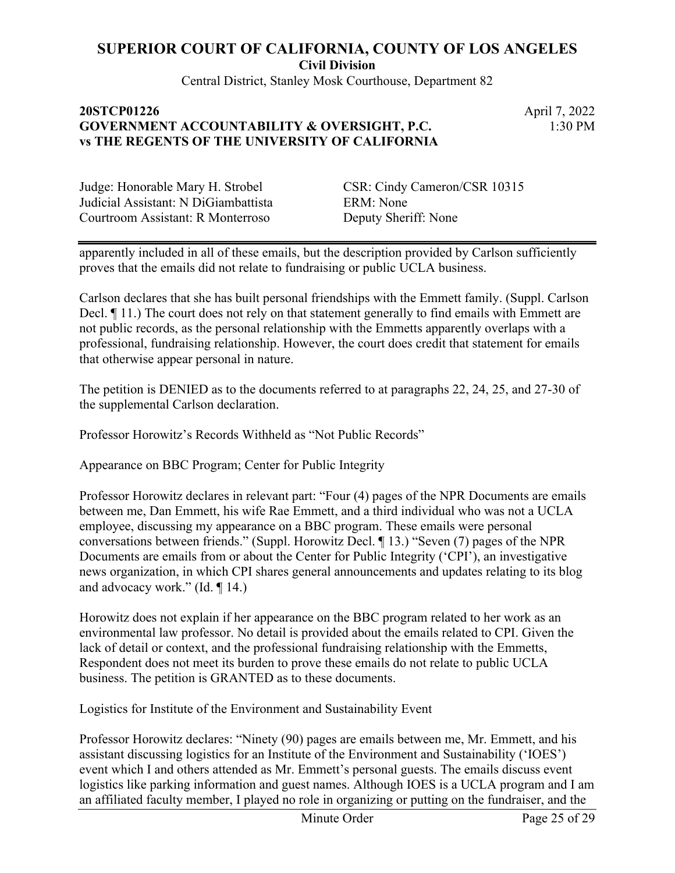Central District, Stanley Mosk Courthouse, Department 82

### **20STCP01226** April 7, 2022 **GOVERNMENT ACCOUNTABILITY & OVERSIGHT, P.C. vs THE REGENTS OF THE UNIVERSITY OF CALIFORNIA**

1:30 PM

Judicial Assistant: N DiGiambattista ERM: None Courtroom Assistant: R Monterroso Deputy Sheriff: None

Judge: Honorable Mary H. Strobel CSR: Cindy Cameron/CSR 10315

apparently included in all of these emails, but the description provided by Carlson sufficiently proves that the emails did not relate to fundraising or public UCLA business.

Carlson declares that she has built personal friendships with the Emmett family. (Suppl. Carlson Decl. ¶ 11.) The court does not rely on that statement generally to find emails with Emmett are not public records, as the personal relationship with the Emmetts apparently overlaps with a professional, fundraising relationship. However, the court does credit that statement for emails that otherwise appear personal in nature.

The petition is DENIED as to the documents referred to at paragraphs 22, 24, 25, and 27-30 of the supplemental Carlson declaration.

Professor Horowitz's Records Withheld as "Not Public Records"

Appearance on BBC Program; Center for Public Integrity

Professor Horowitz declares in relevant part: "Four (4) pages of the NPR Documents are emails between me, Dan Emmett, his wife Rae Emmett, and a third individual who was not a UCLA employee, discussing my appearance on a BBC program. These emails were personal conversations between friends." (Suppl. Horowitz Decl. ¶ 13.) "Seven (7) pages of the NPR Documents are emails from or about the Center for Public Integrity ('CPI'), an investigative news organization, in which CPI shares general announcements and updates relating to its blog and advocacy work." (Id. ¶ 14.)

Horowitz does not explain if her appearance on the BBC program related to her work as an environmental law professor. No detail is provided about the emails related to CPI. Given the lack of detail or context, and the professional fundraising relationship with the Emmetts, Respondent does not meet its burden to prove these emails do not relate to public UCLA business. The petition is GRANTED as to these documents.

Logistics for Institute of the Environment and Sustainability Event

Professor Horowitz declares: "Ninety (90) pages are emails between me, Mr. Emmett, and his assistant discussing logistics for an Institute of the Environment and Sustainability ('IOES') event which I and others attended as Mr. Emmett's personal guests. The emails discuss event logistics like parking information and guest names. Although IOES is a UCLA program and I am an affiliated faculty member, I played no role in organizing or putting on the fundraiser, and the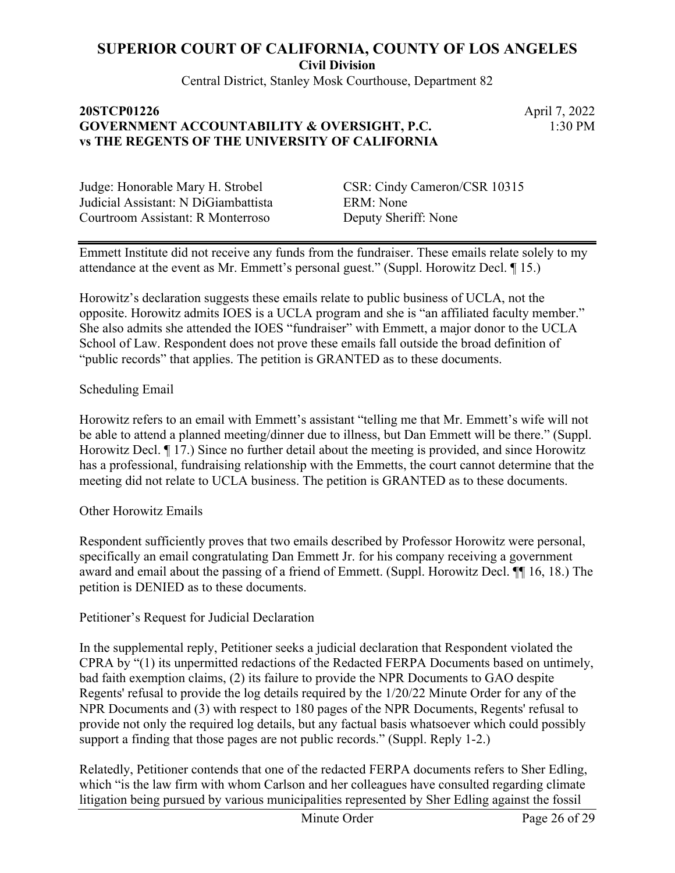Central District, Stanley Mosk Courthouse, Department 82

## **20STCP01226** April 7, 2022 **GOVERNMENT ACCOUNTABILITY & OVERSIGHT, P.C. vs THE REGENTS OF THE UNIVERSITY OF CALIFORNIA**

1:30 PM

Judicial Assistant: N DiGiambattista ERM: None Courtroom Assistant: R Monterroso Deputy Sheriff: None

Judge: Honorable Mary H. Strobel CSR: Cindy Cameron/CSR 10315

Emmett Institute did not receive any funds from the fundraiser. These emails relate solely to my attendance at the event as Mr. Emmett's personal guest." (Suppl. Horowitz Decl. ¶ 15.)

Horowitz's declaration suggests these emails relate to public business of UCLA, not the opposite. Horowitz admits IOES is a UCLA program and she is "an affiliated faculty member." She also admits she attended the IOES "fundraiser" with Emmett, a major donor to the UCLA School of Law. Respondent does not prove these emails fall outside the broad definition of "public records" that applies. The petition is GRANTED as to these documents.

Scheduling Email

Horowitz refers to an email with Emmett's assistant "telling me that Mr. Emmett's wife will not be able to attend a planned meeting/dinner due to illness, but Dan Emmett will be there." (Suppl. Horowitz Decl. ¶ 17.) Since no further detail about the meeting is provided, and since Horowitz has a professional, fundraising relationship with the Emmetts, the court cannot determine that the meeting did not relate to UCLA business. The petition is GRANTED as to these documents.

Other Horowitz Emails

Respondent sufficiently proves that two emails described by Professor Horowitz were personal, specifically an email congratulating Dan Emmett Jr. for his company receiving a government award and email about the passing of a friend of Emmett. (Suppl. Horowitz Decl. ¶¶ 16, 18.) The petition is DENIED as to these documents.

Petitioner's Request for Judicial Declaration

In the supplemental reply, Petitioner seeks a judicial declaration that Respondent violated the CPRA by "(1) its unpermitted redactions of the Redacted FERPA Documents based on untimely, bad faith exemption claims, (2) its failure to provide the NPR Documents to GAO despite Regents' refusal to provide the log details required by the 1/20/22 Minute Order for any of the NPR Documents and (3) with respect to 180 pages of the NPR Documents, Regents' refusal to provide not only the required log details, but any factual basis whatsoever which could possibly support a finding that those pages are not public records." (Suppl. Reply 1-2.)

Relatedly, Petitioner contends that one of the redacted FERPA documents refers to Sher Edling, which "is the law firm with whom Carlson and her colleagues have consulted regarding climate litigation being pursued by various municipalities represented by Sher Edling against the fossil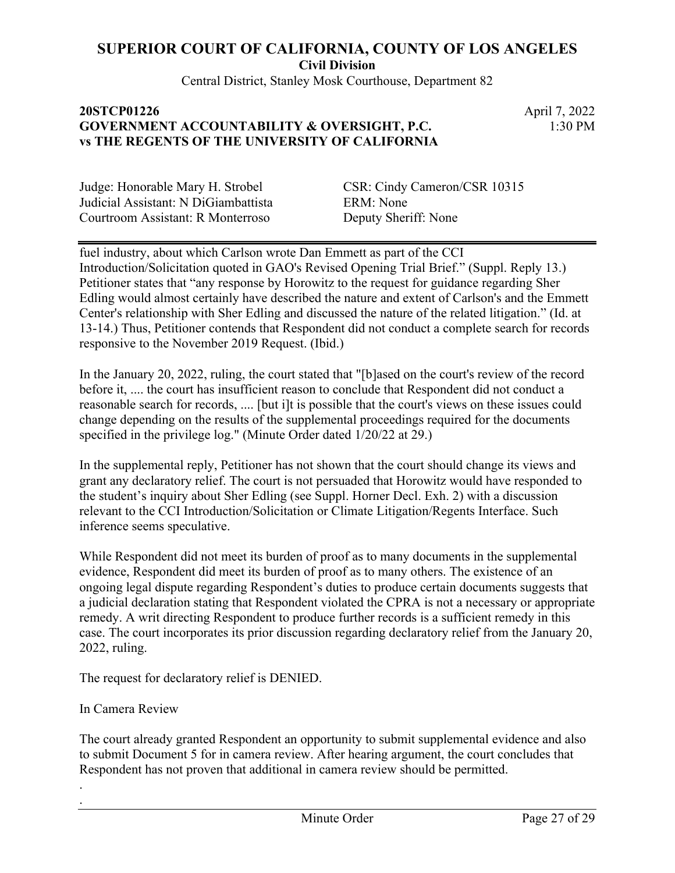**Civil Division**

Central District, Stanley Mosk Courthouse, Department 82

#### **20STCP01226** April 7, 2022 **GOVERNMENT ACCOUNTABILITY & OVERSIGHT, P.C. vs THE REGENTS OF THE UNIVERSITY OF CALIFORNIA**

1:30 PM

Judicial Assistant: N DiGiambattista ERM: None Courtroom Assistant: R Monterroso Deputy Sheriff: None

Judge: Honorable Mary H. Strobel CSR: Cindy Cameron/CSR 10315

fuel industry, about which Carlson wrote Dan Emmett as part of the CCI Introduction/Solicitation quoted in GAO's Revised Opening Trial Brief." (Suppl. Reply 13.) Petitioner states that "any response by Horowitz to the request for guidance regarding Sher Edling would almost certainly have described the nature and extent of Carlson's and the Emmett Center's relationship with Sher Edling and discussed the nature of the related litigation." (Id. at 13-14.) Thus, Petitioner contends that Respondent did not conduct a complete search for records responsive to the November 2019 Request. (Ibid.)

In the January 20, 2022, ruling, the court stated that "[b]ased on the court's review of the record before it, .... the court has insufficient reason to conclude that Respondent did not conduct a reasonable search for records, .... [but i]t is possible that the court's views on these issues could change depending on the results of the supplemental proceedings required for the documents specified in the privilege log." (Minute Order dated 1/20/22 at 29.)

In the supplemental reply, Petitioner has not shown that the court should change its views and grant any declaratory relief. The court is not persuaded that Horowitz would have responded to the student's inquiry about Sher Edling (see Suppl. Horner Decl. Exh. 2) with a discussion relevant to the CCI Introduction/Solicitation or Climate Litigation/Regents Interface. Such inference seems speculative.

While Respondent did not meet its burden of proof as to many documents in the supplemental evidence, Respondent did meet its burden of proof as to many others. The existence of an ongoing legal dispute regarding Respondent's duties to produce certain documents suggests that a judicial declaration stating that Respondent violated the CPRA is not a necessary or appropriate remedy. A writ directing Respondent to produce further records is a sufficient remedy in this case. The court incorporates its prior discussion regarding declaratory relief from the January 20, 2022, ruling.

The request for declaratory relief is DENIED.

In Camera Review

. .

The court already granted Respondent an opportunity to submit supplemental evidence and also to submit Document 5 for in camera review. After hearing argument, the court concludes that Respondent has not proven that additional in camera review should be permitted.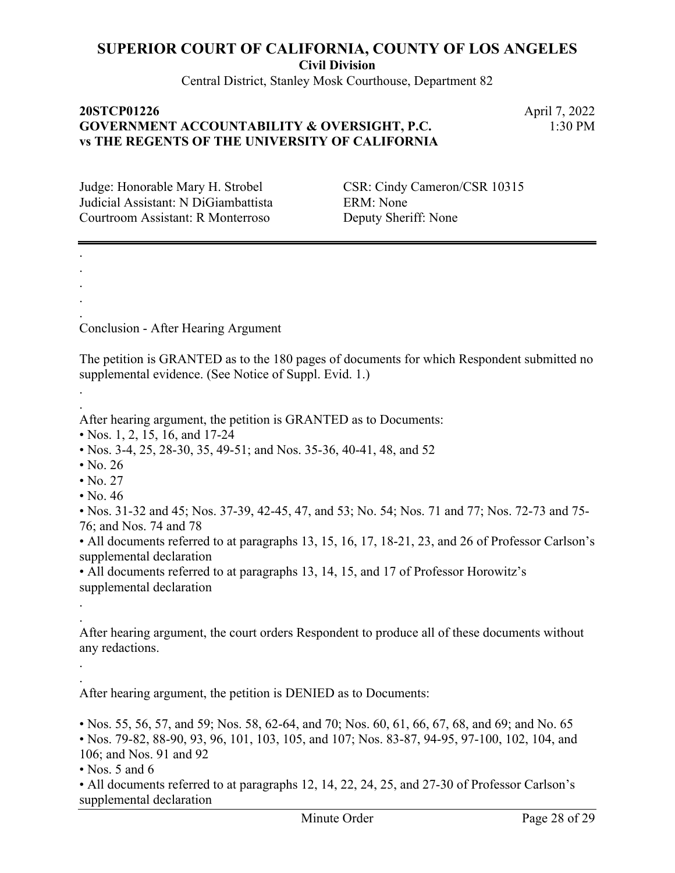**Civil Division**

Central District, Stanley Mosk Courthouse, Department 82

## **20STCP01226** April 7, 2022 **GOVERNMENT ACCOUNTABILITY & OVERSIGHT, P.C. vs THE REGENTS OF THE UNIVERSITY OF CALIFORNIA**

1:30 PM

Judicial Assistant: N DiGiambattista ERM: None Courtroom Assistant: R Monterroso Deputy Sheriff: None

Judge: Honorable Mary H. Strobel CSR: Cindy Cameron/CSR 10315

Conclusion - After Hearing Argument

The petition is GRANTED as to the 180 pages of documents for which Respondent submitted no supplemental evidence. (See Notice of Suppl. Evid. 1.)

After hearing argument, the petition is GRANTED as to Documents:

- Nos. 1, 2, 15, 16, and 17-24
- Nos. 3-4, 25, 28-30, 35, 49-51; and Nos. 35-36, 40-41, 48, and 52
- $\cdot$  No. 26

. . . . .

. .

. .

. .

- $\cdot$  No. 27
- No.  $46$

• Nos. 31-32 and 45; Nos. 37-39, 42-45, 47, and 53; No. 54; Nos. 71 and 77; Nos. 72-73 and 75- 76; and Nos. 74 and 78

• All documents referred to at paragraphs 13, 15, 16, 17, 18-21, 23, and 26 of Professor Carlson's supplemental declaration

• All documents referred to at paragraphs 13, 14, 15, and 17 of Professor Horowitz's supplemental declaration

After hearing argument, the court orders Respondent to produce all of these documents without any redactions.

After hearing argument, the petition is DENIED as to Documents:

• Nos. 55, 56, 57, and 59; Nos. 58, 62-64, and 70; Nos. 60, 61, 66, 67, 68, and 69; and No. 65 • Nos. 79-82, 88-90, 93, 96, 101, 103, 105, and 107; Nos. 83-87, 94-95, 97-100, 102, 104, and 106; and Nos. 91 and 92

• Nos. 5 and 6

• All documents referred to at paragraphs 12, 14, 22, 24, 25, and 27-30 of Professor Carlson's supplemental declaration